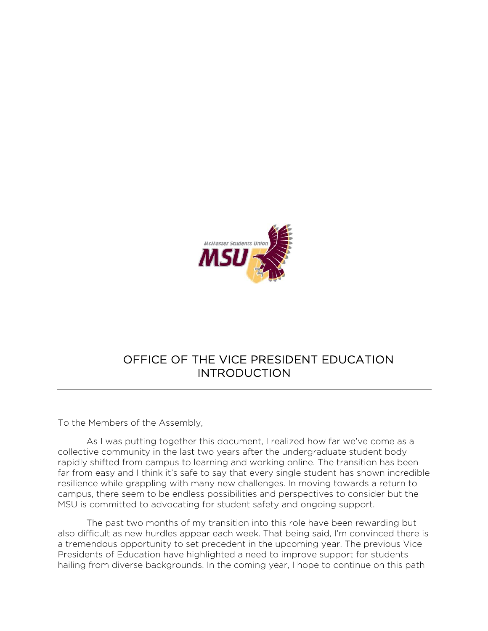

#### OFFICE OF THE VICE PRESIDENT EDUCATION INTRODUCTION

To the Members of the Assembly,

As I was putting together this document, I realized how far we've come as a collective community in the last two years after the undergraduate student body rapidly shifted from campus to learning and working online. The transition has been far from easy and I think it's safe to say that every single student has shown incredible resilience while grappling with many new challenges. In moving towards a return to campus, there seem to be endless possibilities and perspectives to consider but the MSU is committed to advocating for student safety and ongoing support.

The past two months of my transition into this role have been rewarding but also difficult as new hurdles appear each week. That being said, I'm convinced there is a tremendous opportunity to set precedent in the upcoming year. The previous Vice Presidents of Education have highlighted a need to improve support for students hailing from diverse backgrounds. In the coming year, I hope to continue on this path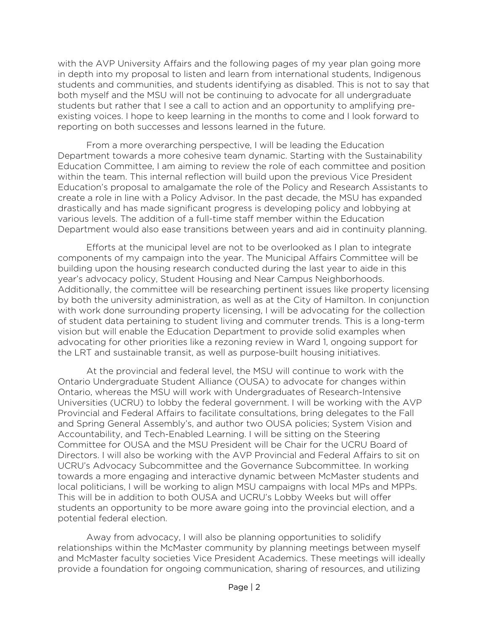with the AVP University Affairs and the following pages of my year plan going more in depth into my proposal to listen and learn from international students, Indigenous students and communities, and students identifying as disabled. This is not to say that both myself and the MSU will not be continuing to advocate for all undergraduate students but rather that I see a call to action and an opportunity to amplifying preexisting voices. I hope to keep learning in the months to come and I look forward to reporting on both successes and lessons learned in the future.

From a more overarching perspective, I will be leading the Education Department towards a more cohesive team dynamic. Starting with the Sustainability Education Committee, I am aiming to review the role of each committee and position within the team. This internal reflection will build upon the previous Vice President Education's proposal to amalgamate the role of the Policy and Research Assistants to create a role in line with a Policy Advisor. In the past decade, the MSU has expanded drastically and has made significant progress is developing policy and lobbying at various levels. The addition of a full-time staff member within the Education Department would also ease transitions between years and aid in continuity planning.

Efforts at the municipal level are not to be overlooked as I plan to integrate components of my campaign into the year. The Municipal Affairs Committee will be building upon the housing research conducted during the last year to aide in this year's advocacy policy, Student Housing and Near Campus Neighborhoods. Additionally, the committee will be researching pertinent issues like property licensing by both the university administration, as well as at the City of Hamilton. In conjunction with work done surrounding property licensing, I will be advocating for the collection of student data pertaining to student living and commuter trends. This is a long-term vision but will enable the Education Department to provide solid examples when advocating for other priorities like a rezoning review in Ward 1, ongoing support for the LRT and sustainable transit, as well as purpose-built housing initiatives.

At the provincial and federal level, the MSU will continue to work with the Ontario Undergraduate Student Alliance (OUSA) to advocate for changes within Ontario, whereas the MSU will work with Undergraduates of Research-Intensive Universities (UCRU) to lobby the federal government. I will be working with the AVP Provincial and Federal Affairs to facilitate consultations, bring delegates to the Fall and Spring General Assembly's, and author two OUSA policies; System Vision and Accountability, and Tech-Enabled Learning. I will be sitting on the Steering Committee for OUSA and the MSU President will be Chair for the UCRU Board of Directors. I will also be working with the AVP Provincial and Federal Affairs to sit on UCRU's Advocacy Subcommittee and the Governance Subcommittee. In working towards a more engaging and interactive dynamic between McMaster students and local politicians, I will be working to align MSU campaigns with local MPs and MPPs. This will be in addition to both OUSA and UCRU's Lobby Weeks but will offer students an opportunity to be more aware going into the provincial election, and a potential federal election.

Away from advocacy, I will also be planning opportunities to solidify relationships within the McMaster community by planning meetings between myself and McMaster faculty societies Vice President Academics. These meetings will ideally provide a foundation for ongoing communication, sharing of resources, and utilizing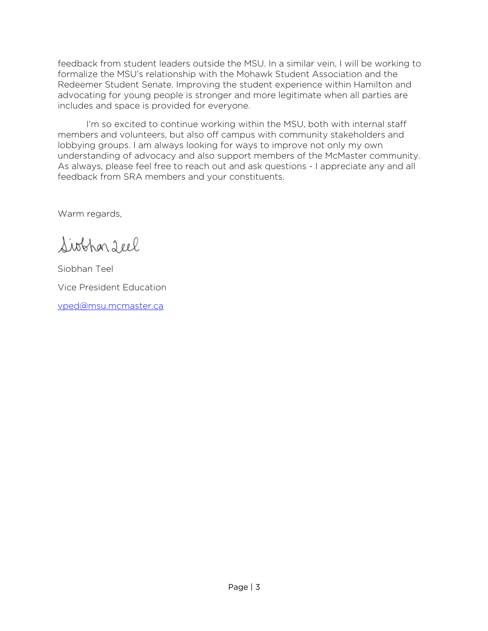feedback from student leaders outside the MSU. In a similar vein, I will be working to formalize the MSU's relationship with the Mohawk Student Association and the Redeemer Student Senate. Improving the student experience within Hamilton and advocating for young people is stronger and more legitimate when all parties are includes and space is provided for everyone.

I'm so excited to continue working within the MSU, both with internal staff members and volunteers, but also off campus with community stakeholders and lobbying groups. I am always looking for ways to improve not only my own understanding of advocacy and also support members of the McMaster community. As always, please feel free to reach out and ask questions - I appreciate any and all feedback from SRA members and your constituents.

Warm regards,

Siobhar Leel

Siobhan Teel Vice President Education

vped@msu.mcmaster.ca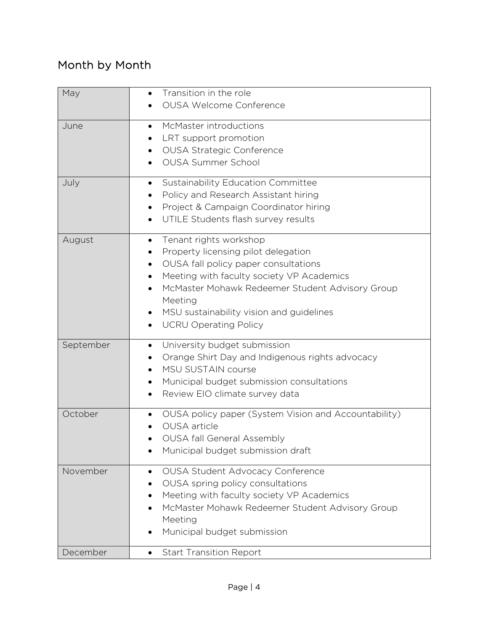## Month by Month

| May       | Transition in the role<br>$\bullet$<br><b>OUSA Welcome Conference</b>                                                                                                                                                                                                                                                                                              |
|-----------|--------------------------------------------------------------------------------------------------------------------------------------------------------------------------------------------------------------------------------------------------------------------------------------------------------------------------------------------------------------------|
| June      | McMaster introductions<br>$\bullet$<br>LRT support promotion<br><b>OUSA Strategic Conference</b><br>$\bullet$<br><b>OUSA Summer School</b>                                                                                                                                                                                                                         |
| July      | Sustainability Education Committee<br>$\bullet$<br>Policy and Research Assistant hiring<br>Project & Campaign Coordinator hiring<br>$\bullet$<br>UTILE Students flash survey results<br>$\bullet$                                                                                                                                                                  |
| August    | Tenant rights workshop<br>$\bullet$<br>Property licensing pilot delegation<br>٠<br>OUSA fall policy paper consultations<br>$\bullet$<br>Meeting with faculty society VP Academics<br>$\bullet$<br>McMaster Mohawk Redeemer Student Advisory Group<br>Meeting<br>MSU sustainability vision and guidelines<br>$\bullet$<br><b>UCRU Operating Policy</b><br>$\bullet$ |
| September | University budget submission<br>$\bullet$<br>Orange Shirt Day and Indigenous rights advocacy<br>MSU SUSTAIN course<br>Municipal budget submission consultations<br>٠<br>Review EIO climate survey data                                                                                                                                                             |
| October   | OUSA policy paper (System Vision and Accountability)<br>OUSA article<br><b>OUSA fall General Assembly</b><br>Municipal budget submission draft<br>$\bullet$                                                                                                                                                                                                        |
| November  | <b>OUSA Student Advocacy Conference</b><br>$\bullet$<br>OUSA spring policy consultations<br>$\bullet$<br>Meeting with faculty society VP Academics<br>McMaster Mohawk Redeemer Student Advisory Group<br>$\bullet$<br>Meeting<br>Municipal budget submission<br>$\bullet$                                                                                          |
| December  | <b>Start Transition Report</b><br>$\bullet$                                                                                                                                                                                                                                                                                                                        |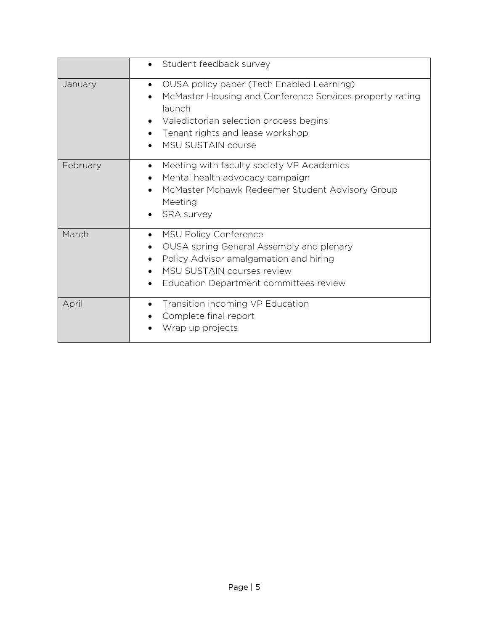|          | Student feedback survey<br>$\bullet$                                                                                                                                                                                                    |
|----------|-----------------------------------------------------------------------------------------------------------------------------------------------------------------------------------------------------------------------------------------|
| January  | OUSA policy paper (Tech Enabled Learning)<br>$\bullet$<br>McMaster Housing and Conference Services property rating<br>launch<br>Valedictorian selection process begins<br>Tenant rights and lease workshop<br><b>MSU SUSTAIN course</b> |
| February | Meeting with faculty society VP Academics<br>$\bullet$<br>Mental health advocacy campaign<br>McMaster Mohawk Redeemer Student Advisory Group<br>Meeting<br><b>SRA</b> survey                                                            |
| March    | MSU Policy Conference<br>٠<br>OUSA spring General Assembly and plenary<br>Policy Advisor amalgamation and hiring<br>MSU SUSTAIN courses review<br>Education Department committees review                                                |
| April    | Transition incoming VP Education<br>$\bullet$<br>Complete final report<br>Wrap up projects                                                                                                                                              |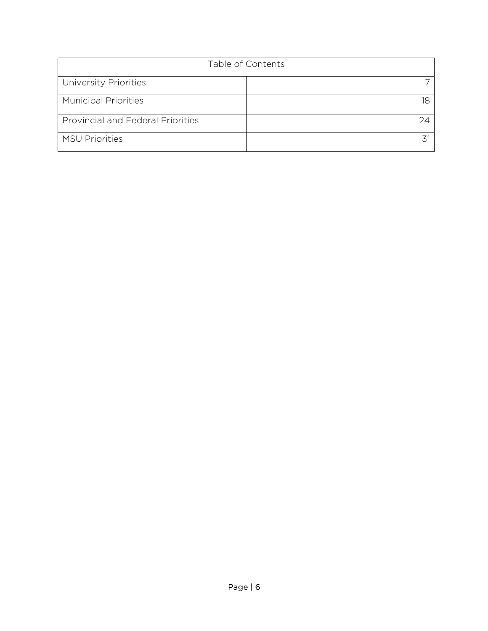| Table of Contents                        |    |
|------------------------------------------|----|
| University Priorities                    |    |
| <b>Municipal Priorities</b>              | 18 |
| <b>Provincial and Federal Priorities</b> | 24 |
| <b>MSU Priorities</b>                    |    |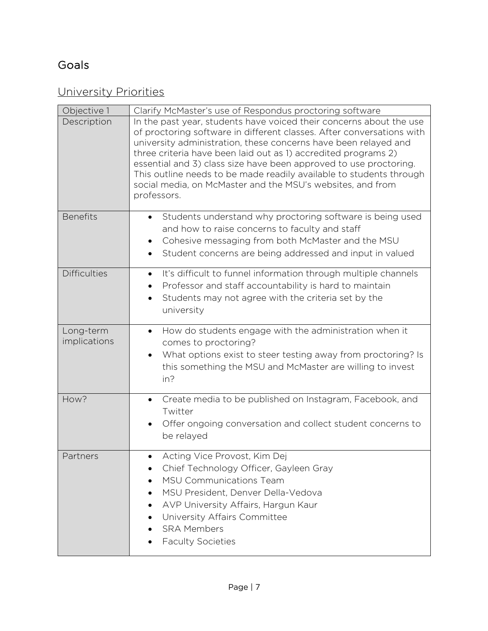# Goals

#### University Priorities

| Objective 1               | Clarify McMaster's use of Respondus proctoring software                                                                                                                                                                                                                                                                                                                                                                                                                                                    |
|---------------------------|------------------------------------------------------------------------------------------------------------------------------------------------------------------------------------------------------------------------------------------------------------------------------------------------------------------------------------------------------------------------------------------------------------------------------------------------------------------------------------------------------------|
| Description               | In the past year, students have voiced their concerns about the use<br>of proctoring software in different classes. After conversations with<br>university administration, these concerns have been relayed and<br>three criteria have been laid out as 1) accredited programs 2)<br>essential and 3) class size have been approved to use proctoring.<br>This outline needs to be made readily available to students through<br>social media, on McMaster and the MSU's websites, and from<br>professors. |
| <b>Benefits</b>           | Students understand why proctoring software is being used<br>$\bullet$<br>and how to raise concerns to faculty and staff<br>Cohesive messaging from both McMaster and the MSU<br>$\bullet$<br>Student concerns are being addressed and input in valued<br>$\bullet$                                                                                                                                                                                                                                        |
| <b>Difficulties</b>       | It's difficult to funnel information through multiple channels<br>$\bullet$<br>Professor and staff accountability is hard to maintain<br>٠<br>Students may not agree with the criteria set by the<br>$\bullet$<br>university                                                                                                                                                                                                                                                                               |
| Long-term<br>implications | How do students engage with the administration when it<br>$\bullet$<br>comes to proctoring?<br>What options exist to steer testing away from proctoring? Is<br>$\bullet$<br>this something the MSU and McMaster are willing to invest<br>in?                                                                                                                                                                                                                                                               |
| How?                      | Create media to be published on Instagram, Facebook, and<br>$\bullet$<br>Twitter<br>Offer ongoing conversation and collect student concerns to<br>be relayed                                                                                                                                                                                                                                                                                                                                               |
| Partners                  | Acting Vice Provost, Kim Dej<br>$\bullet$<br>Chief Technology Officer, Gayleen Gray<br><b>MSU Communications Team</b><br>MSU President, Denver Della-Vedova<br>AVP University Affairs, Hargun Kaur<br>University Affairs Committee<br><b>SRA Members</b><br><b>Faculty Societies</b>                                                                                                                                                                                                                       |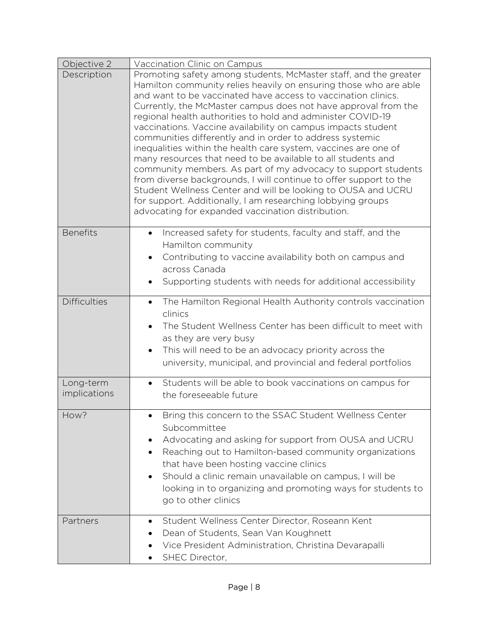| Objective 2               | Vaccination Clinic on Campus                                                                                                                                                                                                                                                                                                                                                                                                                                                                                                                                                                                                                                                                                                                                                                                                                                                                                                    |
|---------------------------|---------------------------------------------------------------------------------------------------------------------------------------------------------------------------------------------------------------------------------------------------------------------------------------------------------------------------------------------------------------------------------------------------------------------------------------------------------------------------------------------------------------------------------------------------------------------------------------------------------------------------------------------------------------------------------------------------------------------------------------------------------------------------------------------------------------------------------------------------------------------------------------------------------------------------------|
| Description               | Promoting safety among students, McMaster staff, and the greater<br>Hamilton community relies heavily on ensuring those who are able<br>and want to be vaccinated have access to vaccination clinics.<br>Currently, the McMaster campus does not have approval from the<br>regional health authorities to hold and administer COVID-19<br>vaccinations. Vaccine availability on campus impacts student<br>communities differently and in order to address systemic<br>inequalities within the health care system, vaccines are one of<br>many resources that need to be available to all students and<br>community members. As part of my advocacy to support students<br>from diverse backgrounds, I will continue to offer support to the<br>Student Wellness Center and will be looking to OUSA and UCRU<br>for support. Additionally, I am researching lobbying groups<br>advocating for expanded vaccination distribution. |
| <b>Benefits</b>           | Increased safety for students, faculty and staff, and the<br>$\bullet$<br>Hamilton community<br>Contributing to vaccine availability both on campus and<br>across Canada<br>Supporting students with needs for additional accessibility                                                                                                                                                                                                                                                                                                                                                                                                                                                                                                                                                                                                                                                                                         |
| <b>Difficulties</b>       | The Hamilton Regional Health Authority controls vaccination<br>$\bullet$<br>clinics<br>The Student Wellness Center has been difficult to meet with<br>$\bullet$<br>as they are very busy<br>This will need to be an advocacy priority across the<br>$\bullet$<br>university, municipal, and provincial and federal portfolios                                                                                                                                                                                                                                                                                                                                                                                                                                                                                                                                                                                                   |
| Long-term<br>implications | Students will be able to book vaccinations on campus for<br>$\bullet$<br>the foreseeable future                                                                                                                                                                                                                                                                                                                                                                                                                                                                                                                                                                                                                                                                                                                                                                                                                                 |
| How?                      | Bring this concern to the SSAC Student Wellness Center<br>Subcommittee<br>Advocating and asking for support from OUSA and UCRU<br>$\bullet$<br>Reaching out to Hamilton-based community organizations<br>$\bullet$<br>that have been hosting vaccine clinics<br>Should a clinic remain unavailable on campus, I will be<br>٠<br>looking in to organizing and promoting ways for students to<br>go to other clinics                                                                                                                                                                                                                                                                                                                                                                                                                                                                                                              |
| Partners                  | Student Wellness Center Director, Roseann Kent<br>$\bullet$<br>Dean of Students, Sean Van Koughnett<br>Vice President Administration, Christina Devarapalli<br>SHEC Director,                                                                                                                                                                                                                                                                                                                                                                                                                                                                                                                                                                                                                                                                                                                                                   |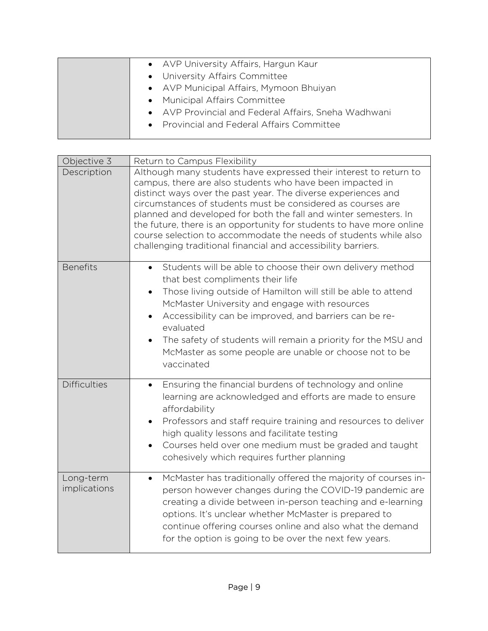| • AVP University Affairs, Hargun Kaur                |
|------------------------------------------------------|
| • University Affairs Committee                       |
| • AVP Municipal Affairs, Mymoon Bhuiyan              |
| • Municipal Affairs Committee                        |
| • AVP Provincial and Federal Affairs, Sneha Wadhwani |
| • Provincial and Federal Affairs Committee           |
|                                                      |
|                                                      |

| Objective 3               | Return to Campus Flexibility                                                                                                                                                                                                                                                                                                                                                                                                                                                                                                                    |
|---------------------------|-------------------------------------------------------------------------------------------------------------------------------------------------------------------------------------------------------------------------------------------------------------------------------------------------------------------------------------------------------------------------------------------------------------------------------------------------------------------------------------------------------------------------------------------------|
| Description               | Although many students have expressed their interest to return to<br>campus, there are also students who have been impacted in<br>distinct ways over the past year. The diverse experiences and<br>circumstances of students must be considered as courses are<br>planned and developed for both the fall and winter semesters. In<br>the future, there is an opportunity for students to have more online<br>course selection to accommodate the needs of students while also<br>challenging traditional financial and accessibility barriers. |
| <b>Benefits</b>           | Students will be able to choose their own delivery method<br>$\bullet$<br>that best compliments their life<br>Those living outside of Hamilton will still be able to attend<br>$\bullet$<br>McMaster University and engage with resources<br>Accessibility can be improved, and barriers can be re-<br>$\bullet$<br>evaluated<br>The safety of students will remain a priority for the MSU and<br>McMaster as some people are unable or choose not to be<br>vaccinated                                                                          |
| <b>Difficulties</b>       | Ensuring the financial burdens of technology and online<br>$\bullet$<br>learning are acknowledged and efforts are made to ensure<br>affordability<br>Professors and staff require training and resources to deliver<br>high quality lessons and facilitate testing<br>Courses held over one medium must be graded and taught<br>$\bullet$<br>cohesively which requires further planning                                                                                                                                                         |
| Long-term<br>implications | McMaster has traditionally offered the majority of courses in-<br>$\bullet$<br>person however changes during the COVID-19 pandemic are<br>creating a divide between in-person teaching and e-learning<br>options. It's unclear whether McMaster is prepared to<br>continue offering courses online and also what the demand<br>for the option is going to be over the next few years.                                                                                                                                                           |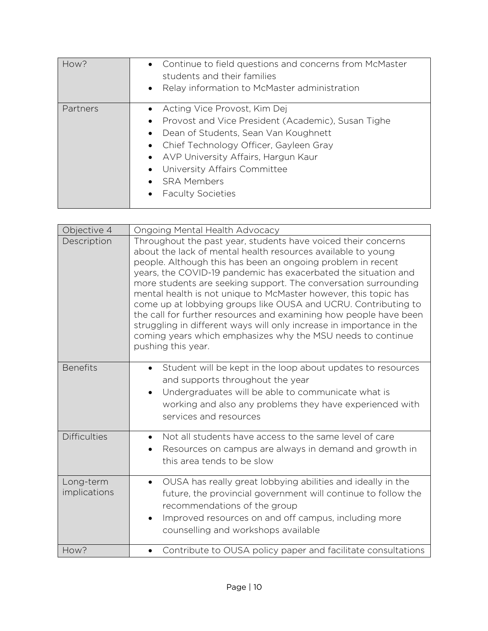| How?     | • Continue to field questions and concerns from McMaster<br>students and their families<br>• Relay information to McMaster administration                                                                                                                                                                                    |
|----------|------------------------------------------------------------------------------------------------------------------------------------------------------------------------------------------------------------------------------------------------------------------------------------------------------------------------------|
| Partners | • Acting Vice Provost, Kim Dej<br>• Provost and Vice President (Academic), Susan Tighe<br>Dean of Students, Sean Van Koughnett<br>$\bullet$<br>• Chief Technology Officer, Gayleen Gray<br>• AVP University Affairs, Hargun Kaur<br>• University Affairs Committee<br>• SRA Members<br><b>Faculty Societies</b><br>$\bullet$ |

| Objective 4               | Ongoing Mental Health Advocacy                                                                                                                                                                                                                                                                                                                                                                                                                                                                                                                                                                                                                                                                           |
|---------------------------|----------------------------------------------------------------------------------------------------------------------------------------------------------------------------------------------------------------------------------------------------------------------------------------------------------------------------------------------------------------------------------------------------------------------------------------------------------------------------------------------------------------------------------------------------------------------------------------------------------------------------------------------------------------------------------------------------------|
| Description               | Throughout the past year, students have voiced their concerns<br>about the lack of mental health resources available to young<br>people. Although this has been an ongoing problem in recent<br>years, the COVID-19 pandemic has exacerbated the situation and<br>more students are seeking support. The conversation surrounding<br>mental health is not unique to McMaster however, this topic has<br>come up at lobbying groups like OUSA and UCRU. Contributing to<br>the call for further resources and examining how people have been<br>struggling in different ways will only increase in importance in the<br>coming years which emphasizes why the MSU needs to continue<br>pushing this year. |
| <b>Benefits</b>           | Student will be kept in the loop about updates to resources<br>$\bullet$<br>and supports throughout the year<br>Undergraduates will be able to communicate what is<br>$\bullet$<br>working and also any problems they have experienced with<br>services and resources                                                                                                                                                                                                                                                                                                                                                                                                                                    |
| <b>Difficulties</b>       | Not all students have access to the same level of care<br>Resources on campus are always in demand and growth in<br>$\bullet$<br>this area tends to be slow                                                                                                                                                                                                                                                                                                                                                                                                                                                                                                                                              |
| Long-term<br>implications | OUSA has really great lobbying abilities and ideally in the<br>$\bullet$<br>future, the provincial government will continue to follow the<br>recommendations of the group<br>Improved resources on and off campus, including more<br>counselling and workshops available                                                                                                                                                                                                                                                                                                                                                                                                                                 |
| How?                      | Contribute to OUSA policy paper and facilitate consultations                                                                                                                                                                                                                                                                                                                                                                                                                                                                                                                                                                                                                                             |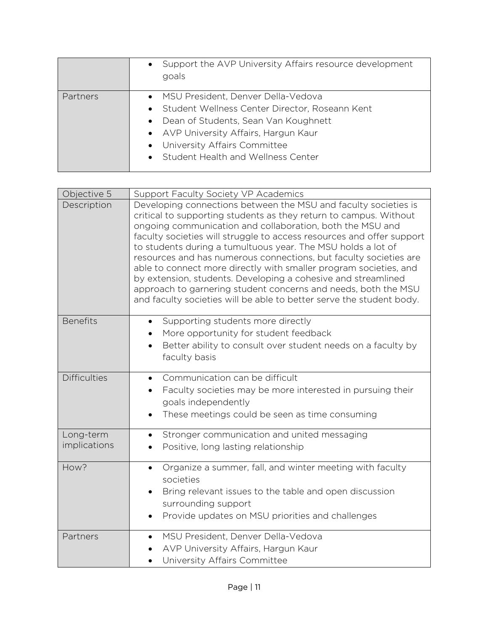|                 | Support the AVP University Affairs resource development<br>$\bullet$<br>goals                                                                                                                                                                                                          |
|-----------------|----------------------------------------------------------------------------------------------------------------------------------------------------------------------------------------------------------------------------------------------------------------------------------------|
| <b>Partners</b> | • MSU President, Denver Della-Vedova<br>Student Wellness Center Director, Roseann Kent<br>$\bullet$<br>Dean of Students, Sean Van Koughnett<br>$\bullet$<br>• AVP University Affairs, Hargun Kaur<br>• University Affairs Committee<br>Student Health and Wellness Center<br>$\bullet$ |

| Objective 5         | Support Faculty Society VP Academics                                                                                                                                                                                                                                                                                                                                                                                                                                                                                                                                                                                                                                                            |
|---------------------|-------------------------------------------------------------------------------------------------------------------------------------------------------------------------------------------------------------------------------------------------------------------------------------------------------------------------------------------------------------------------------------------------------------------------------------------------------------------------------------------------------------------------------------------------------------------------------------------------------------------------------------------------------------------------------------------------|
| Description         | Developing connections between the MSU and faculty societies is<br>critical to supporting students as they return to campus. Without<br>ongoing communication and collaboration, both the MSU and<br>faculty societies will struggle to access resources and offer support<br>to students during a tumultuous year. The MSU holds a lot of<br>resources and has numerous connections, but faculty societies are<br>able to connect more directly with smaller program societies, and<br>by extension, students. Developing a cohesive and streamlined<br>approach to garnering student concerns and needs, both the MSU<br>and faculty societies will be able to better serve the student body. |
| <b>Benefits</b>     | Supporting students more directly<br>$\bullet$<br>More opportunity for student feedback<br>Better ability to consult over student needs on a faculty by                                                                                                                                                                                                                                                                                                                                                                                                                                                                                                                                         |
|                     | faculty basis                                                                                                                                                                                                                                                                                                                                                                                                                                                                                                                                                                                                                                                                                   |
| <b>Difficulties</b> | Communication can be difficult                                                                                                                                                                                                                                                                                                                                                                                                                                                                                                                                                                                                                                                                  |
|                     | Faculty societies may be more interested in pursuing their<br>goals independently                                                                                                                                                                                                                                                                                                                                                                                                                                                                                                                                                                                                               |
|                     | These meetings could be seen as time consuming                                                                                                                                                                                                                                                                                                                                                                                                                                                                                                                                                                                                                                                  |
| Long-term           | Stronger communication and united messaging                                                                                                                                                                                                                                                                                                                                                                                                                                                                                                                                                                                                                                                     |
| implications        | Positive, long lasting relationship                                                                                                                                                                                                                                                                                                                                                                                                                                                                                                                                                                                                                                                             |
| How?                | Organize a summer, fall, and winter meeting with faculty<br>$\bullet$                                                                                                                                                                                                                                                                                                                                                                                                                                                                                                                                                                                                                           |
|                     | societies<br>Bring relevant issues to the table and open discussion                                                                                                                                                                                                                                                                                                                                                                                                                                                                                                                                                                                                                             |
|                     | surrounding support                                                                                                                                                                                                                                                                                                                                                                                                                                                                                                                                                                                                                                                                             |
|                     | Provide updates on MSU priorities and challenges                                                                                                                                                                                                                                                                                                                                                                                                                                                                                                                                                                                                                                                |
| Partners            | MSU President, Denver Della-Vedova                                                                                                                                                                                                                                                                                                                                                                                                                                                                                                                                                                                                                                                              |
|                     | AVP University Affairs, Hargun Kaur<br>University Affairs Committee                                                                                                                                                                                                                                                                                                                                                                                                                                                                                                                                                                                                                             |
|                     |                                                                                                                                                                                                                                                                                                                                                                                                                                                                                                                                                                                                                                                                                                 |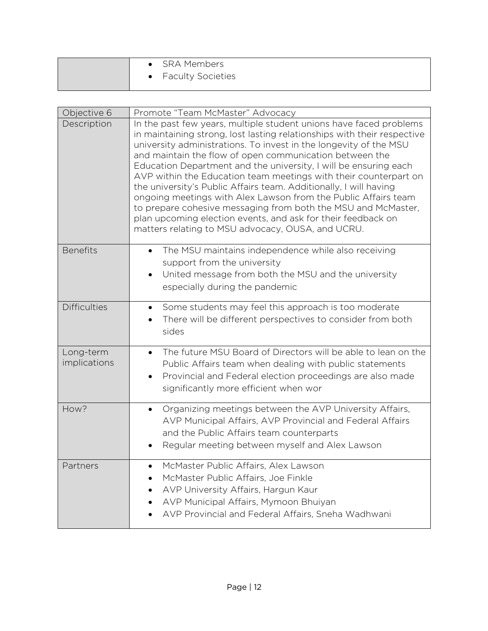| • SRA Members            |
|--------------------------|
| <b>Faculty Societies</b> |

| Objective 6               | Promote "Team McMaster" Advocacy                                                                                                                                                                                                                                                                                                                                                                                                                                                                                                                                                                                                                                                                                                                   |
|---------------------------|----------------------------------------------------------------------------------------------------------------------------------------------------------------------------------------------------------------------------------------------------------------------------------------------------------------------------------------------------------------------------------------------------------------------------------------------------------------------------------------------------------------------------------------------------------------------------------------------------------------------------------------------------------------------------------------------------------------------------------------------------|
| Description               | In the past few years, multiple student unions have faced problems<br>in maintaining strong, lost lasting relationships with their respective<br>university administrations. To invest in the longevity of the MSU<br>and maintain the flow of open communication between the<br>Education Department and the university, I will be ensuring each<br>AVP within the Education team meetings with their counterpart on<br>the university's Public Affairs team. Additionally, I will having<br>ongoing meetings with Alex Lawson from the Public Affairs team<br>to prepare cohesive messaging from both the MSU and McMaster,<br>plan upcoming election events, and ask for their feedback on<br>matters relating to MSU advocacy, OUSA, and UCRU. |
| <b>Benefits</b>           | The MSU maintains independence while also receiving<br>$\bullet$<br>support from the university<br>United message from both the MSU and the university<br>$\bullet$<br>especially during the pandemic                                                                                                                                                                                                                                                                                                                                                                                                                                                                                                                                              |
| <b>Difficulties</b>       | Some students may feel this approach is too moderate<br>There will be different perspectives to consider from both<br>sides                                                                                                                                                                                                                                                                                                                                                                                                                                                                                                                                                                                                                        |
| Long-term<br>implications | The future MSU Board of Directors will be able to lean on the<br>$\bullet$<br>Public Affairs team when dealing with public statements<br>Provincial and Federal election proceedings are also made<br>$\bullet$<br>significantly more efficient when wor                                                                                                                                                                                                                                                                                                                                                                                                                                                                                           |
| How?                      | Organizing meetings between the AVP University Affairs,<br>$\bullet$<br>AVP Municipal Affairs, AVP Provincial and Federal Affairs<br>and the Public Affairs team counterparts<br>Regular meeting between myself and Alex Lawson                                                                                                                                                                                                                                                                                                                                                                                                                                                                                                                    |
| Partners                  | McMaster Public Affairs, Alex Lawson<br>McMaster Public Affairs, Joe Finkle<br>AVP University Affairs, Hargun Kaur<br>AVP Municipal Affairs, Mymoon Bhuiyan<br>AVP Provincial and Federal Affairs, Sneha Wadhwani                                                                                                                                                                                                                                                                                                                                                                                                                                                                                                                                  |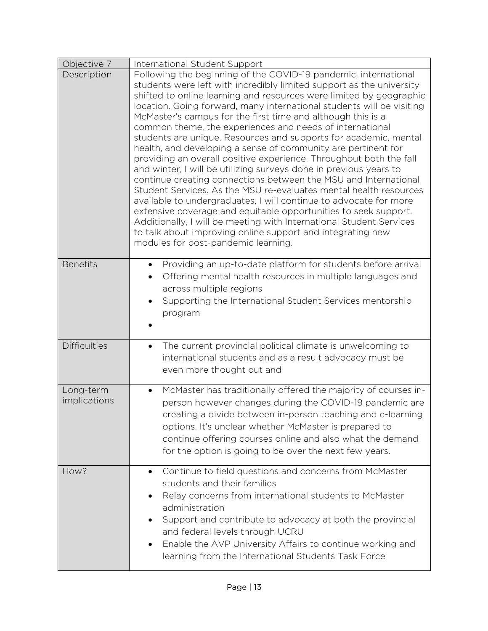| Objective 7               | International Student Support                                                                                                                                                                                                                                                                                                                                                                                                                                                                                                                                                                                                                                                                                                                                                                                                                                                                                                                                                                                                                                                                                                                                  |
|---------------------------|----------------------------------------------------------------------------------------------------------------------------------------------------------------------------------------------------------------------------------------------------------------------------------------------------------------------------------------------------------------------------------------------------------------------------------------------------------------------------------------------------------------------------------------------------------------------------------------------------------------------------------------------------------------------------------------------------------------------------------------------------------------------------------------------------------------------------------------------------------------------------------------------------------------------------------------------------------------------------------------------------------------------------------------------------------------------------------------------------------------------------------------------------------------|
| Description               | Following the beginning of the COVID-19 pandemic, international<br>students were left with incredibly limited support as the university<br>shifted to online learning and resources were limited by geographic<br>location. Going forward, many international students will be visiting<br>McMaster's campus for the first time and although this is a<br>common theme, the experiences and needs of international<br>students are unique. Resources and supports for academic, mental<br>health, and developing a sense of community are pertinent for<br>providing an overall positive experience. Throughout both the fall<br>and winter, I will be utilizing surveys done in previous years to<br>continue creating connections between the MSU and International<br>Student Services. As the MSU re-evaluates mental health resources<br>available to undergraduates, I will continue to advocate for more<br>extensive coverage and equitable opportunities to seek support.<br>Additionally, I will be meeting with International Student Services<br>to talk about improving online support and integrating new<br>modules for post-pandemic learning. |
| <b>Benefits</b>           | Providing an up-to-date platform for students before arrival<br>$\bullet$<br>Offering mental health resources in multiple languages and<br>$\bullet$<br>across multiple regions<br>Supporting the International Student Services mentorship<br>$\bullet$<br>program                                                                                                                                                                                                                                                                                                                                                                                                                                                                                                                                                                                                                                                                                                                                                                                                                                                                                            |
| <b>Difficulties</b>       | The current provincial political climate is unwelcoming to<br>$\bullet$<br>international students and as a result advocacy must be<br>even more thought out and                                                                                                                                                                                                                                                                                                                                                                                                                                                                                                                                                                                                                                                                                                                                                                                                                                                                                                                                                                                                |
| Long-term<br>implications | McMaster has traditionally offered the majority of courses in-<br>$\bullet$<br>person however changes during the COVID-19 pandemic are<br>creating a divide between in-person teaching and e-learning<br>options. It's unclear whether McMaster is prepared to<br>continue offering courses online and also what the demand<br>for the option is going to be over the next few years.                                                                                                                                                                                                                                                                                                                                                                                                                                                                                                                                                                                                                                                                                                                                                                          |
| How?                      | Continue to field questions and concerns from McMaster<br>$\bullet$<br>students and their families<br>Relay concerns from international students to McMaster<br>administration<br>Support and contribute to advocacy at both the provincial<br>and federal levels through UCRU<br>Enable the AVP University Affairs to continue working and<br>learning from the International Students Task Force                                                                                                                                                                                                                                                                                                                                                                                                                                                                                                                                                                                                                                                                                                                                                             |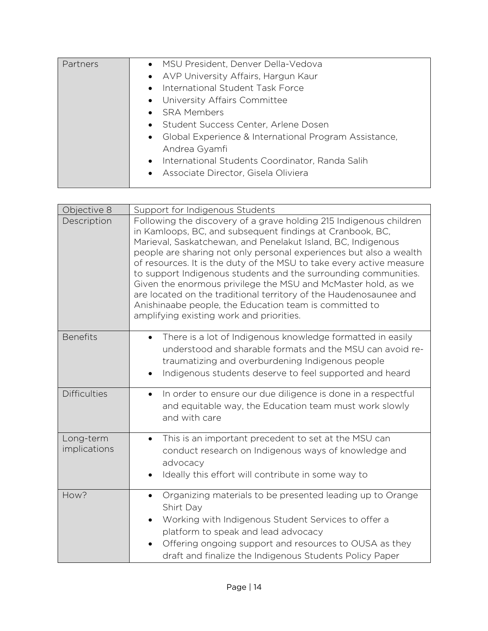| Partners | • MSU President, Denver Della-Vedova<br>• AVP University Affairs, Hargun Kaur<br>International Student Task Force<br>$\bullet$<br>• University Affairs Committee<br>• SRA Members<br>• Student Success Center, Arlene Dosen<br>• Global Experience & International Program Assistance,<br>Andrea Gyamfi<br>International Students Coordinator, Randa Salih<br>$\bullet$<br>• Associate Director, Gisela Oliviera |
|----------|------------------------------------------------------------------------------------------------------------------------------------------------------------------------------------------------------------------------------------------------------------------------------------------------------------------------------------------------------------------------------------------------------------------|
|----------|------------------------------------------------------------------------------------------------------------------------------------------------------------------------------------------------------------------------------------------------------------------------------------------------------------------------------------------------------------------------------------------------------------------|

| Objective 8               | Support for Indigenous Students                                                                                                                                                                                                                                                                                                                                                                                                                                                                                                                                                                                                                              |
|---------------------------|--------------------------------------------------------------------------------------------------------------------------------------------------------------------------------------------------------------------------------------------------------------------------------------------------------------------------------------------------------------------------------------------------------------------------------------------------------------------------------------------------------------------------------------------------------------------------------------------------------------------------------------------------------------|
| Description               | Following the discovery of a grave holding 215 Indigenous children<br>in Kamloops, BC, and subsequent findings at Cranbook, BC,<br>Marieval, Saskatchewan, and Penelakut Island, BC, Indigenous<br>people are sharing not only personal experiences but also a wealth<br>of resources. It is the duty of the MSU to take every active measure<br>to support Indigenous students and the surrounding communities.<br>Given the enormous privilege the MSU and McMaster hold, as we<br>are located on the traditional territory of the Haudenosaunee and<br>Anishinaabe people, the Education team is committed to<br>amplifying existing work and priorities. |
| <b>Benefits</b>           | There is a lot of Indigenous knowledge formatted in easily<br>$\bullet$<br>understood and sharable formats and the MSU can avoid re-<br>traumatizing and overburdening Indigenous people<br>Indigenous students deserve to feel supported and heard                                                                                                                                                                                                                                                                                                                                                                                                          |
| <b>Difficulties</b>       | In order to ensure our due diligence is done in a respectful<br>$\bullet$<br>and equitable way, the Education team must work slowly<br>and with care                                                                                                                                                                                                                                                                                                                                                                                                                                                                                                         |
| Long-term<br>implications | This is an important precedent to set at the MSU can<br>$\bullet$<br>conduct research on Indigenous ways of knowledge and<br>advocacy<br>Ideally this effort will contribute in some way to                                                                                                                                                                                                                                                                                                                                                                                                                                                                  |
| How?                      | Organizing materials to be presented leading up to Orange<br>$\bullet$<br>Shirt Day<br>Working with Indigenous Student Services to offer a<br>$\bullet$<br>platform to speak and lead advocacy<br>Offering ongoing support and resources to OUSA as they<br>draft and finalize the Indigenous Students Policy Paper                                                                                                                                                                                                                                                                                                                                          |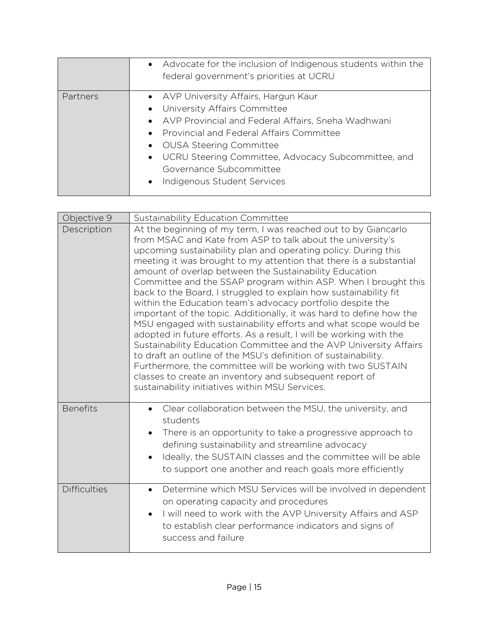|          | • Advocate for the inclusion of Indigenous students within the<br>federal government's priorities at UCRU                                                                                                                                                                                                                       |
|----------|---------------------------------------------------------------------------------------------------------------------------------------------------------------------------------------------------------------------------------------------------------------------------------------------------------------------------------|
| Partners | • AVP University Affairs, Hargun Kaur<br>• University Affairs Committee<br>• AVP Provincial and Federal Affairs, Sneha Wadhwani<br>• Provincial and Federal Affairs Committee<br>• OUSA Steering Committee<br>• UCRU Steering Committee, Advocacy Subcommittee, and<br>Governance Subcommittee<br>• Indigenous Student Services |

| Objective 9         | Sustainability Education Committee                                                                                                                                                                                                                                                                                                                                                                                                                                                                                                                                                                                                                                                                                                                                                                                                                                                                                                                                                                                                                                     |
|---------------------|------------------------------------------------------------------------------------------------------------------------------------------------------------------------------------------------------------------------------------------------------------------------------------------------------------------------------------------------------------------------------------------------------------------------------------------------------------------------------------------------------------------------------------------------------------------------------------------------------------------------------------------------------------------------------------------------------------------------------------------------------------------------------------------------------------------------------------------------------------------------------------------------------------------------------------------------------------------------------------------------------------------------------------------------------------------------|
| Description         | At the beginning of my term, I was reached out to by Giancarlo<br>from MSAC and Kate from ASP to talk about the university's<br>upcoming sustainability plan and operating policy. During this<br>meeting it was brought to my attention that there is a substantial<br>amount of overlap between the Sustainability Education<br>Committee and the SSAP program within ASP. When I brought this<br>back to the Board, I struggled to explain how sustainability fit<br>within the Education team's advocacy portfolio despite the<br>important of the topic. Additionally, it was hard to define how the<br>MSU engaged with sustainability efforts and what scope would be<br>adopted in future efforts. As a result, I will be working with the<br>Sustainability Education Committee and the AVP University Affairs<br>to draft an outline of the MSU's definition of sustainability.<br>Furthermore, the committee will be working with two SUSTAIN<br>classes to create an inventory and subsequent report of<br>sustainability initiatives within MSU Services. |
| <b>Benefits</b>     | Clear collaboration between the MSU, the university, and<br>students<br>There is an opportunity to take a progressive approach to<br>٠<br>defining sustainability and streamline advocacy<br>Ideally, the SUSTAIN classes and the committee will be able<br>$\bullet$<br>to support one another and reach goals more efficiently                                                                                                                                                                                                                                                                                                                                                                                                                                                                                                                                                                                                                                                                                                                                       |
| <b>Difficulties</b> | Determine which MSU Services will be involved in dependent<br>$\bullet$<br>on operating capacity and procedures<br>I will need to work with the AVP University Affairs and ASP<br>to establish clear performance indicators and signs of<br>success and failure                                                                                                                                                                                                                                                                                                                                                                                                                                                                                                                                                                                                                                                                                                                                                                                                        |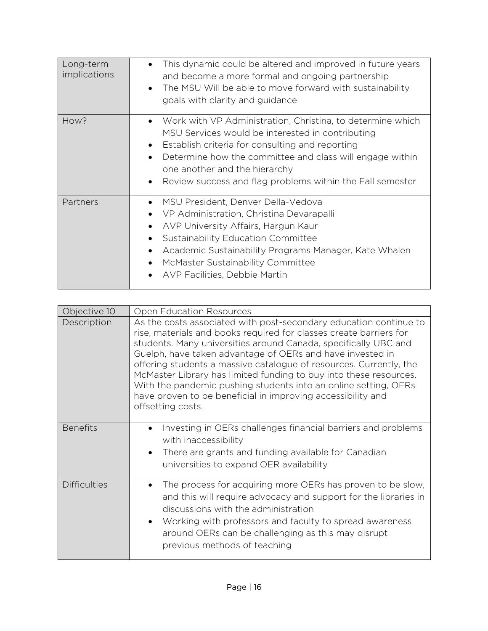| Long-term<br>implications | This dynamic could be altered and improved in future years<br>$\bullet$<br>and become a more formal and ongoing partnership<br>The MSU Will be able to move forward with sustainability<br>$\bullet$<br>goals with clarity and guidance                                                                                                               |
|---------------------------|-------------------------------------------------------------------------------------------------------------------------------------------------------------------------------------------------------------------------------------------------------------------------------------------------------------------------------------------------------|
| How?                      | Work with VP Administration, Christina, to determine which<br>$\bullet$<br>MSU Services would be interested in contributing<br>Establish criteria for consulting and reporting<br>Determine how the committee and class will engage within<br>one another and the hierarchy<br>Review success and flag problems within the Fall semester<br>$\bullet$ |
| Partners                  | MSU President, Denver Della-Vedova<br>VP Administration, Christina Devarapalli<br>AVP University Affairs, Hargun Kaur<br>$\bullet$<br>Sustainability Education Committee<br>$\bullet$<br>Academic Sustainability Programs Manager, Kate Whalen<br>٠<br>McMaster Sustainability Committee<br>AVP Facilities, Debbie Martin<br>$\bullet$                |

| Objective 10        | <b>Open Education Resources</b>                                                                                                                                                                                                                                                                                                                                                                                                                                                                                                                                           |
|---------------------|---------------------------------------------------------------------------------------------------------------------------------------------------------------------------------------------------------------------------------------------------------------------------------------------------------------------------------------------------------------------------------------------------------------------------------------------------------------------------------------------------------------------------------------------------------------------------|
| Description         | As the costs associated with post-secondary education continue to<br>rise, materials and books required for classes create barriers for<br>students. Many universities around Canada, specifically UBC and<br>Guelph, have taken advantage of OERs and have invested in<br>offering students a massive catalogue of resources. Currently, the<br>McMaster Library has limited funding to buy into these resources.<br>With the pandemic pushing students into an online setting, OERs<br>have proven to be beneficial in improving accessibility and<br>offsetting costs. |
| <b>Benefits</b>     | Investing in OERs challenges financial barriers and problems<br>with inaccessibility<br>There are grants and funding available for Canadian<br>universities to expand OER availability                                                                                                                                                                                                                                                                                                                                                                                    |
| <b>Difficulties</b> | The process for acquiring more OERs has proven to be slow,<br>and this will require advocacy and support for the libraries in<br>discussions with the administration<br>Working with professors and faculty to spread awareness<br>$\bullet$<br>around OERs can be challenging as this may disrupt<br>previous methods of teaching                                                                                                                                                                                                                                        |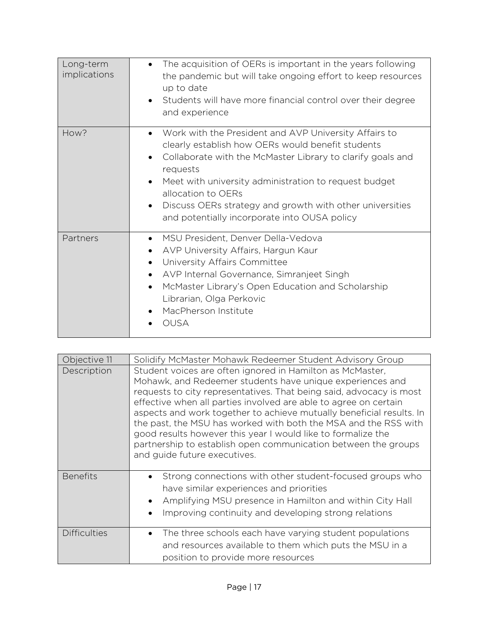| Long-term<br>implications | The acquisition of OERs is important in the years following<br>$\bullet$<br>the pandemic but will take ongoing effort to keep resources<br>up to date<br>Students will have more financial control over their degree<br>$\bullet$<br>and experience                                                                                                                                                                                 |
|---------------------------|-------------------------------------------------------------------------------------------------------------------------------------------------------------------------------------------------------------------------------------------------------------------------------------------------------------------------------------------------------------------------------------------------------------------------------------|
| How?                      | Work with the President and AVP University Affairs to<br>$\bullet$<br>clearly establish how OERs would benefit students<br>Collaborate with the McMaster Library to clarify goals and<br>$\bullet$<br>requests<br>Meet with university administration to request budget<br>$\bullet$<br>allocation to OERs<br>Discuss OERs strategy and growth with other universities<br>$\bullet$<br>and potentially incorporate into OUSA policy |
| Partners                  | MSU President, Denver Della-Vedova<br>$\bullet$<br>AVP University Affairs, Hargun Kaur<br>University Affairs Committee<br>$\bullet$<br>AVP Internal Governance, Simranjeet Singh<br>McMaster Library's Open Education and Scholarship<br>$\bullet$<br>Librarian, Olga Perkovic<br>MacPherson Institute<br><b>OUSA</b>                                                                                                               |

| Objective 11        | Solidify McMaster Mohawk Redeemer Student Advisory Group                                                                                                                                                                                                                                                                                                                                                                                                                                                                                                                       |
|---------------------|--------------------------------------------------------------------------------------------------------------------------------------------------------------------------------------------------------------------------------------------------------------------------------------------------------------------------------------------------------------------------------------------------------------------------------------------------------------------------------------------------------------------------------------------------------------------------------|
| Description         | Student voices are often ignored in Hamilton as McMaster,<br>Mohawk, and Redeemer students have unique experiences and<br>requests to city representatives. That being said, advocacy is most<br>effective when all parties involved are able to agree on certain<br>aspects and work together to achieve mutually beneficial results. In<br>the past, the MSU has worked with both the MSA and the RSS with<br>good results however this year I would like to formalize the<br>partnership to establish open communication between the groups<br>and guide future executives. |
| <b>Benefits</b>     | Strong connections with other student-focused groups who<br>have similar experiences and priorities<br>Amplifying MSU presence in Hamilton and within City Hall<br>Improving continuity and developing strong relations                                                                                                                                                                                                                                                                                                                                                        |
| <b>Difficulties</b> | The three schools each have varying student populations<br>and resources available to them which puts the MSU in a<br>position to provide more resources                                                                                                                                                                                                                                                                                                                                                                                                                       |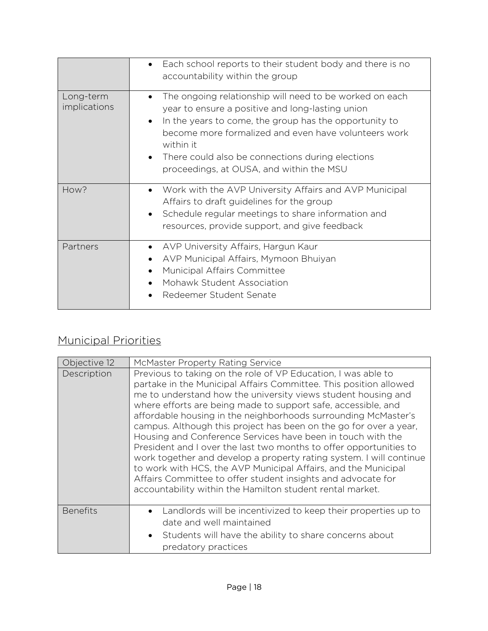|                           | Each school reports to their student body and there is no<br>$\bullet$<br>accountability within the group                                                                                                                                                                                                                                                            |
|---------------------------|----------------------------------------------------------------------------------------------------------------------------------------------------------------------------------------------------------------------------------------------------------------------------------------------------------------------------------------------------------------------|
| Long-term<br>implications | The ongoing relationship will need to be worked on each<br>$\bullet$<br>year to ensure a positive and long-lasting union<br>In the years to come, the group has the opportunity to<br>become more formalized and even have volunteers work<br>within it<br>There could also be connections during elections<br>$\bullet$<br>proceedings, at OUSA, and within the MSU |
| How?                      | Work with the AVP University Affairs and AVP Municipal<br>$\bullet$<br>Affairs to draft guidelines for the group<br>Schedule regular meetings to share information and<br>resources, provide support, and give feedback                                                                                                                                              |
| Partners                  | AVP University Affairs, Hargun Kaur<br>$\bullet$<br>AVP Municipal Affairs, Mymoon Bhuiyan<br>Municipal Affairs Committee<br>Mohawk Student Association<br>Redeemer Student Senate                                                                                                                                                                                    |

## Municipal Priorities

| Objective 12    | McMaster Property Rating Service                                                                                                                                                                                                                                                                                                                                                                                                                                                                                                                                                                                                                                                                                                                                                                                       |
|-----------------|------------------------------------------------------------------------------------------------------------------------------------------------------------------------------------------------------------------------------------------------------------------------------------------------------------------------------------------------------------------------------------------------------------------------------------------------------------------------------------------------------------------------------------------------------------------------------------------------------------------------------------------------------------------------------------------------------------------------------------------------------------------------------------------------------------------------|
| Description     | Previous to taking on the role of VP Education, I was able to<br>partake in the Municipal Affairs Committee. This position allowed<br>me to understand how the university views student housing and<br>where efforts are being made to support safe, accessible, and<br>affordable housing in the neighborhoods surrounding McMaster's<br>campus. Although this project has been on the go for over a year,<br>Housing and Conference Services have been in touch with the<br>President and I over the last two months to offer opportunities to<br>work together and develop a property rating system. I will continue<br>to work with HCS, the AVP Municipal Affairs, and the Municipal<br>Affairs Committee to offer student insights and advocate for<br>accountability within the Hamilton student rental market. |
| <b>Benefits</b> | Landlords will be incentivized to keep their properties up to<br>date and well maintained<br>Students will have the ability to share concerns about<br>$\bullet$<br>predatory practices                                                                                                                                                                                                                                                                                                                                                                                                                                                                                                                                                                                                                                |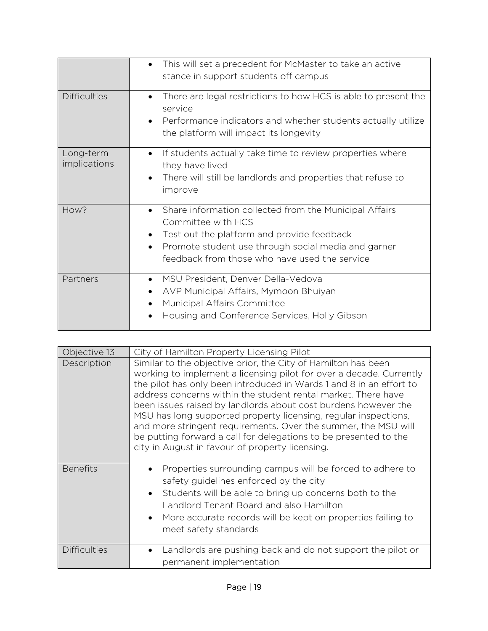|                           | This will set a precedent for McMaster to take an active<br>$\bullet$<br>stance in support students off campus                                                                                                                                               |
|---------------------------|--------------------------------------------------------------------------------------------------------------------------------------------------------------------------------------------------------------------------------------------------------------|
| <b>Difficulties</b>       | There are legal restrictions to how HCS is able to present the<br>$\bullet$<br>service<br>Performance indicators and whether students actually utilize<br>the platform will impact its longevity                                                             |
| Long-term<br>implications | If students actually take time to review properties where<br>$\bullet$<br>they have lived<br>There will still be landlords and properties that refuse to<br>$\bullet$<br>improve                                                                             |
| How?                      | Share information collected from the Municipal Affairs<br>$\bullet$<br>Committee with HCS<br>Test out the platform and provide feedback<br>Promote student use through social media and garner<br>$\bullet$<br>feedback from those who have used the service |
| Partners                  | MSU President, Denver Della-Vedova<br>AVP Municipal Affairs, Mymoon Bhuiyan<br>Municipal Affairs Committee<br>Housing and Conference Services, Holly Gibson<br>$\bullet$                                                                                     |

| Objective 13        | City of Hamilton Property Licensing Pilot                                                                                                                                                                                                                                                                                                                                                                                                                                                                                                                                                                  |
|---------------------|------------------------------------------------------------------------------------------------------------------------------------------------------------------------------------------------------------------------------------------------------------------------------------------------------------------------------------------------------------------------------------------------------------------------------------------------------------------------------------------------------------------------------------------------------------------------------------------------------------|
| Description         | Similar to the objective prior, the City of Hamilton has been<br>working to implement a licensing pilot for over a decade. Currently<br>the pilot has only been introduced in Wards 1 and 8 in an effort to<br>address concerns within the student rental market. There have<br>been issues raised by landlords about cost burdens however the<br>MSU has long supported property licensing, regular inspections,<br>and more stringent requirements. Over the summer, the MSU will<br>be putting forward a call for delegations to be presented to the<br>city in August in favour of property licensing. |
| <b>Benefits</b>     | Properties surrounding campus will be forced to adhere to<br>safety guidelines enforced by the city<br>Students will be able to bring up concerns both to the<br>$\bullet$<br>Landlord Tenant Board and also Hamilton<br>More accurate records will be kept on properties failing to<br>meet safety standards                                                                                                                                                                                                                                                                                              |
| <b>Difficulties</b> | Landlords are pushing back and do not support the pilot or<br>permanent implementation                                                                                                                                                                                                                                                                                                                                                                                                                                                                                                                     |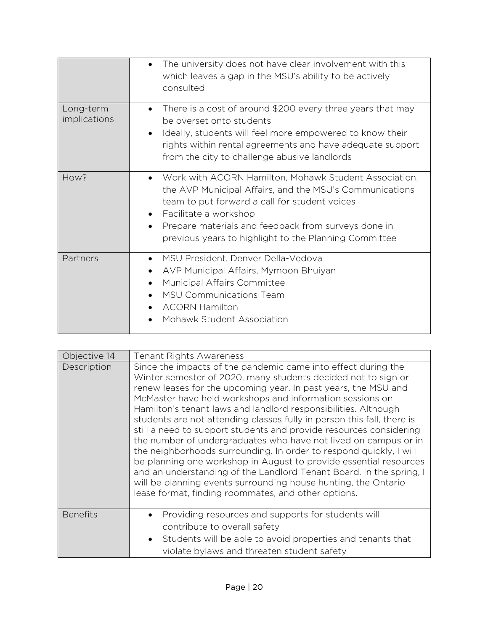|                           | The university does not have clear involvement with this<br>$\bullet$<br>which leaves a gap in the MSU's ability to be actively<br>consulted                                                                                                                                                                            |
|---------------------------|-------------------------------------------------------------------------------------------------------------------------------------------------------------------------------------------------------------------------------------------------------------------------------------------------------------------------|
| Long-term<br>implications | There is a cost of around \$200 every three years that may<br>$\bullet$<br>be overset onto students<br>Ideally, students will feel more empowered to know their<br>$\bullet$<br>rights within rental agreements and have adequate support<br>from the city to challenge abusive landlords                               |
| How?                      | Work with ACORN Hamilton, Mohawk Student Association,<br>$\bullet$<br>the AVP Municipal Affairs, and the MSU's Communications<br>team to put forward a call for student voices<br>Facilitate a workshop<br>Prepare materials and feedback from surveys done in<br>previous years to highlight to the Planning Committee |
| Partners                  | MSU President, Denver Della-Vedova<br>$\bullet$<br>AVP Municipal Affairs, Mymoon Bhuiyan<br>Municipal Affairs Committee<br><b>MSU Communications Team</b><br><b>ACORN Hamilton</b><br>Mohawk Student Association                                                                                                        |

| Objective 14    | <b>Tenant Rights Awareness</b>                                                                                                                                                                                                                                                                                                                                                                                                                                                                                                                                                                                                                                                                                                                                                                                                                                                               |
|-----------------|----------------------------------------------------------------------------------------------------------------------------------------------------------------------------------------------------------------------------------------------------------------------------------------------------------------------------------------------------------------------------------------------------------------------------------------------------------------------------------------------------------------------------------------------------------------------------------------------------------------------------------------------------------------------------------------------------------------------------------------------------------------------------------------------------------------------------------------------------------------------------------------------|
| Description     | Since the impacts of the pandemic came into effect during the<br>Winter semester of 2020, many students decided not to sign or<br>renew leases for the upcoming year. In past years, the MSU and<br>McMaster have held workshops and information sessions on<br>Hamilton's tenant laws and landlord responsibilities. Although<br>students are not attending classes fully in person this fall, there is<br>still a need to support students and provide resources considering<br>the number of undergraduates who have not lived on campus or in<br>the neighborhoods surrounding. In order to respond quickly, I will<br>be planning one workshop in August to provide essential resources<br>and an understanding of the Landlord Tenant Board. In the spring, I<br>will be planning events surrounding house hunting, the Ontario<br>lease format, finding roommates, and other options. |
| <b>Benefits</b> | Providing resources and supports for students will<br>contribute to overall safety<br>Students will be able to avoid properties and tenants that<br>$\bullet$<br>violate bylaws and threaten student safety                                                                                                                                                                                                                                                                                                                                                                                                                                                                                                                                                                                                                                                                                  |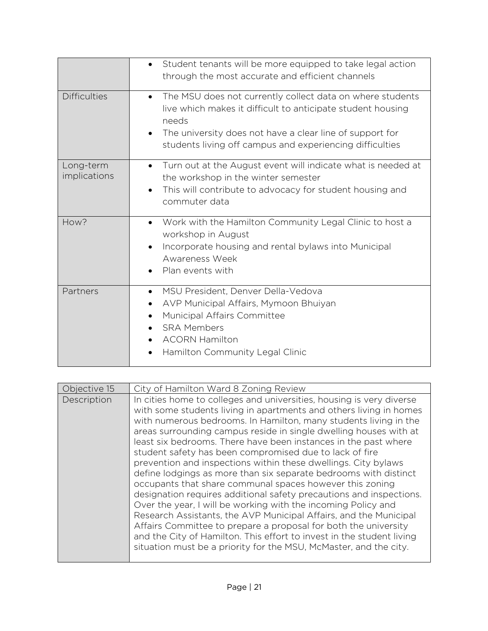|                           | Student tenants will be more equipped to take legal action<br>$\bullet$<br>through the most accurate and efficient channels                                                                                                                                                         |
|---------------------------|-------------------------------------------------------------------------------------------------------------------------------------------------------------------------------------------------------------------------------------------------------------------------------------|
| <b>Difficulties</b>       | The MSU does not currently collect data on where students<br>$\bullet$<br>live which makes it difficult to anticipate student housing<br>needs<br>The university does not have a clear line of support for<br>$\bullet$<br>students living off campus and experiencing difficulties |
| Long-term<br>implications | Turn out at the August event will indicate what is needed at<br>$\bullet$<br>the workshop in the winter semester<br>This will contribute to advocacy for student housing and<br>$\bullet$<br>commuter data                                                                          |
| How?                      | Work with the Hamilton Community Legal Clinic to host a<br>$\bullet$<br>workshop in August<br>Incorporate housing and rental bylaws into Municipal<br>$\bullet$<br>Awareness Week<br>Plan events with                                                                               |
| Partners                  | MSU President, Denver Della-Vedova<br>$\bullet$<br>AVP Municipal Affairs, Mymoon Bhuiyan<br>$\bullet$<br>Municipal Affairs Committee<br><b>SRA Members</b><br><b>ACORN Hamilton</b><br>Hamilton Community Legal Clinic                                                              |

| Objective 15 | City of Hamilton Ward 8 Zoning Review                                                                                                                                                                                                                                                                                                                                                                                                                                                                                                                                                                                                                                                                                                                                                                                                                                                                                                                                                                                                             |
|--------------|---------------------------------------------------------------------------------------------------------------------------------------------------------------------------------------------------------------------------------------------------------------------------------------------------------------------------------------------------------------------------------------------------------------------------------------------------------------------------------------------------------------------------------------------------------------------------------------------------------------------------------------------------------------------------------------------------------------------------------------------------------------------------------------------------------------------------------------------------------------------------------------------------------------------------------------------------------------------------------------------------------------------------------------------------|
| Description  | In cities home to colleges and universities, housing is very diverse<br>with some students living in apartments and others living in homes<br>with numerous bedrooms. In Hamilton, many students living in the<br>areas surrounding campus reside in single dwelling houses with at<br>least six bedrooms. There have been instances in the past where<br>student safety has been compromised due to lack of fire<br>prevention and inspections within these dwellings. City bylaws<br>define lodgings as more than six separate bedrooms with distinct<br>occupants that share communal spaces however this zoning<br>designation requires additional safety precautions and inspections.<br>Over the year, I will be working with the incoming Policy and<br>Research Assistants, the AVP Municipal Affairs, and the Municipal<br>Affairs Committee to prepare a proposal for both the university<br>and the City of Hamilton. This effort to invest in the student living<br>situation must be a priority for the MSU, McMaster, and the city. |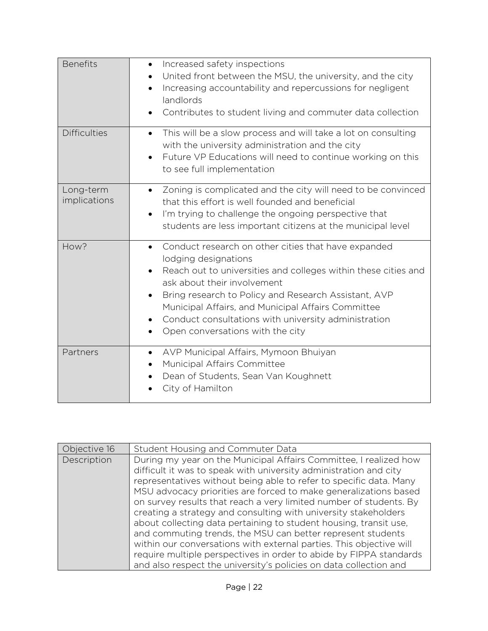| <b>Benefits</b>           | Increased safety inspections<br>$\bullet$<br>United front between the MSU, the university, and the city<br>$\bullet$<br>Increasing accountability and repercussions for negligent<br>$\bullet$<br>landlords<br>Contributes to student living and commuter data collection                                                                                                                                        |
|---------------------------|------------------------------------------------------------------------------------------------------------------------------------------------------------------------------------------------------------------------------------------------------------------------------------------------------------------------------------------------------------------------------------------------------------------|
| <b>Difficulties</b>       | This will be a slow process and will take a lot on consulting<br>$\bullet$<br>with the university administration and the city<br>Future VP Educations will need to continue working on this<br>$\bullet$<br>to see full implementation                                                                                                                                                                           |
| Long-term<br>implications | Zoning is complicated and the city will need to be convinced<br>$\bullet$<br>that this effort is well founded and beneficial<br>I'm trying to challenge the ongoing perspective that<br>$\bullet$<br>students are less important citizens at the municipal level                                                                                                                                                 |
| How?                      | Conduct research on other cities that have expanded<br>$\bullet$<br>lodging designations<br>Reach out to universities and colleges within these cities and<br>ask about their involvement<br>Bring research to Policy and Research Assistant, AVP<br>$\bullet$<br>Municipal Affairs, and Municipal Affairs Committee<br>Conduct consultations with university administration<br>Open conversations with the city |
| Partners                  | AVP Municipal Affairs, Mymoon Bhuiyan<br>$\bullet$<br>Municipal Affairs Committee<br>Dean of Students, Sean Van Koughnett<br>City of Hamilton                                                                                                                                                                                                                                                                    |

| Objective 16 | Student Housing and Commuter Data                                                                                                                                                                                                                                                                                                                                                                                                                                                                                                                                                                                                                                                                                                                                               |
|--------------|---------------------------------------------------------------------------------------------------------------------------------------------------------------------------------------------------------------------------------------------------------------------------------------------------------------------------------------------------------------------------------------------------------------------------------------------------------------------------------------------------------------------------------------------------------------------------------------------------------------------------------------------------------------------------------------------------------------------------------------------------------------------------------|
| Description  | During my year on the Municipal Affairs Committee, I realized how<br>difficult it was to speak with university administration and city<br>representatives without being able to refer to specific data. Many<br>MSU advocacy priorities are forced to make generalizations based<br>on survey results that reach a very limited number of students. By<br>creating a strategy and consulting with university stakeholders<br>about collecting data pertaining to student housing, transit use,<br>and commuting trends, the MSU can better represent students<br>within our conversations with external parties. This objective will<br>require multiple perspectives in order to abide by FIPPA standards<br>and also respect the university's policies on data collection and |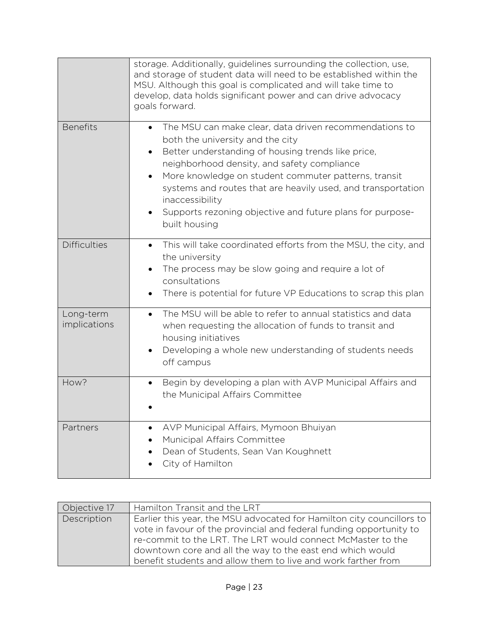|                           | storage. Additionally, guidelines surrounding the collection, use,<br>and storage of student data will need to be established within the<br>MSU. Although this goal is complicated and will take time to<br>develop, data holds significant power and can drive advocacy<br>goals forward.                                                                                                                                            |
|---------------------------|---------------------------------------------------------------------------------------------------------------------------------------------------------------------------------------------------------------------------------------------------------------------------------------------------------------------------------------------------------------------------------------------------------------------------------------|
| <b>Benefits</b>           | The MSU can make clear, data driven recommendations to<br>$\bullet$<br>both the university and the city<br>Better understanding of housing trends like price,<br>neighborhood density, and safety compliance<br>More knowledge on student commuter patterns, transit<br>systems and routes that are heavily used, and transportation<br>inaccessibility<br>Supports rezoning objective and future plans for purpose-<br>built housing |
| <b>Difficulties</b>       | This will take coordinated efforts from the MSU, the city, and<br>$\bullet$<br>the university<br>The process may be slow going and require a lot of<br>$\bullet$<br>consultations<br>There is potential for future VP Educations to scrap this plan<br>٠                                                                                                                                                                              |
| Long-term<br>implications | The MSU will be able to refer to annual statistics and data<br>$\bullet$<br>when requesting the allocation of funds to transit and<br>housing initiatives<br>Developing a whole new understanding of students needs<br>$\bullet$<br>off campus                                                                                                                                                                                        |
| How?                      | Begin by developing a plan with AVP Municipal Affairs and<br>$\bullet$<br>the Municipal Affairs Committee                                                                                                                                                                                                                                                                                                                             |
| Partners                  | AVP Municipal Affairs, Mymoon Bhuiyan<br>Municipal Affairs Committee<br>Dean of Students, Sean Van Koughnett<br>City of Hamilton                                                                                                                                                                                                                                                                                                      |

| Objective 17 | Hamilton Transit and the LRT                                          |
|--------------|-----------------------------------------------------------------------|
| Description  | Earlier this year, the MSU advocated for Hamilton city councillors to |
|              | vote in favour of the provincial and federal funding opportunity to   |
|              | re-commit to the LRT. The LRT would connect McMaster to the           |
|              | downtown core and all the way to the east end which would             |
|              | benefit students and allow them to live and work farther from         |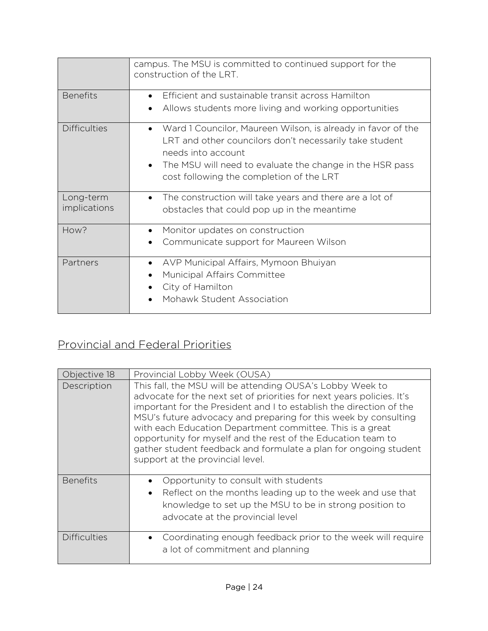|                           | campus. The MSU is committed to continued support for the<br>construction of the LRT.                                                                                                                                                                              |
|---------------------------|--------------------------------------------------------------------------------------------------------------------------------------------------------------------------------------------------------------------------------------------------------------------|
| <b>Benefits</b>           | Efficient and sustainable transit across Hamilton<br>Allows students more living and working opportunities                                                                                                                                                         |
| <b>Difficulties</b>       | Ward 1 Councilor, Maureen Wilson, is already in favor of the<br>LRT and other councilors don't necessarily take student<br>needs into account<br>The MSU will need to evaluate the change in the HSR pass<br>$\bullet$<br>cost following the completion of the LRT |
| Long-term<br>implications | The construction will take years and there are a lot of<br>$\bullet$<br>obstacles that could pop up in the meantime                                                                                                                                                |
| How?                      | Monitor updates on construction<br>$\bullet$<br>Communicate support for Maureen Wilson                                                                                                                                                                             |
| Partners                  | AVP Municipal Affairs, Mymoon Bhuiyan<br>$\bullet$<br>Municipal Affairs Committee<br>City of Hamilton<br>Mohawk Student Association                                                                                                                                |

## Provincial and Federal Priorities

| Objective 18        | Provincial Lobby Week (OUSA)                                                                                                                                                                                                                                                                                                                                                                                                                                                                                      |
|---------------------|-------------------------------------------------------------------------------------------------------------------------------------------------------------------------------------------------------------------------------------------------------------------------------------------------------------------------------------------------------------------------------------------------------------------------------------------------------------------------------------------------------------------|
| Description         | This fall, the MSU will be attending OUSA's Lobby Week to<br>advocate for the next set of priorities for next years policies. It's<br>important for the President and I to establish the direction of the<br>MSU's future advocacy and preparing for this week by consulting<br>with each Education Department committee. This is a great<br>opportunity for myself and the rest of the Education team to<br>gather student feedback and formulate a plan for ongoing student<br>support at the provincial level. |
| <b>Benefits</b>     | Opportunity to consult with students<br>Reflect on the months leading up to the week and use that<br>$\bullet$<br>knowledge to set up the MSU to be in strong position to<br>advocate at the provincial level                                                                                                                                                                                                                                                                                                     |
| <b>Difficulties</b> | Coordinating enough feedback prior to the week will require<br>$\bullet$<br>a lot of commitment and planning                                                                                                                                                                                                                                                                                                                                                                                                      |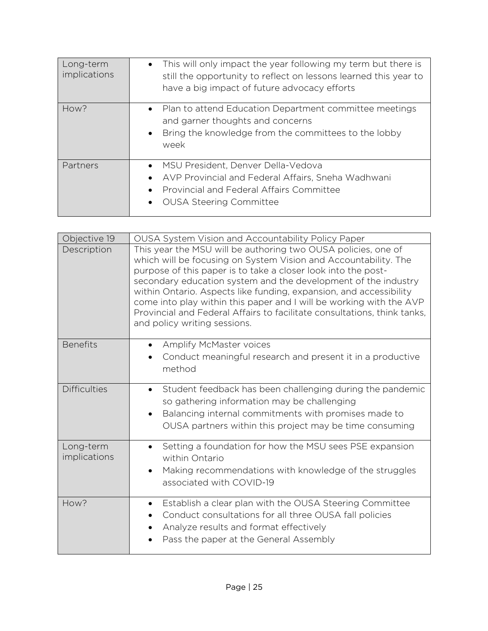| Long-term<br>implications | This will only impact the year following my term but there is<br>$\bullet$<br>still the opportunity to reflect on lessons learned this year to<br>have a big impact of future advocacy efforts |
|---------------------------|------------------------------------------------------------------------------------------------------------------------------------------------------------------------------------------------|
| How?                      | Plan to attend Education Department committee meetings<br>$\bullet$<br>and garner thoughts and concerns<br>Bring the knowledge from the committees to the lobby<br>$\bullet$<br>week           |
| Partners                  | MSU President, Denver Della-Vedova<br>AVP Provincial and Federal Affairs, Sneha Wadhwani<br><b>Provincial and Federal Affairs Committee</b><br><b>OUSA Steering Committee</b>                  |

| Objective 19              | OUSA System Vision and Accountability Policy Paper                                                                                                                                                                                                                                                                                                                                                                                                                                                                           |
|---------------------------|------------------------------------------------------------------------------------------------------------------------------------------------------------------------------------------------------------------------------------------------------------------------------------------------------------------------------------------------------------------------------------------------------------------------------------------------------------------------------------------------------------------------------|
| Description               | This year the MSU will be authoring two OUSA policies, one of<br>which will be focusing on System Vision and Accountability. The<br>purpose of this paper is to take a closer look into the post-<br>secondary education system and the development of the industry<br>within Ontario. Aspects like funding, expansion, and accessibility<br>come into play within this paper and I will be working with the AVP<br>Provincial and Federal Affairs to facilitate consultations, think tanks,<br>and policy writing sessions. |
| <b>Benefits</b>           | Amplify McMaster voices                                                                                                                                                                                                                                                                                                                                                                                                                                                                                                      |
|                           | Conduct meaningful research and present it in a productive<br>method                                                                                                                                                                                                                                                                                                                                                                                                                                                         |
| <b>Difficulties</b>       | Student feedback has been challenging during the pandemic<br>$\bullet$                                                                                                                                                                                                                                                                                                                                                                                                                                                       |
|                           | so gathering information may be challenging                                                                                                                                                                                                                                                                                                                                                                                                                                                                                  |
|                           | Balancing internal commitments with promises made to<br>$\bullet$<br>OUSA partners within this project may be time consuming                                                                                                                                                                                                                                                                                                                                                                                                 |
| Long-term<br>implications | Setting a foundation for how the MSU sees PSE expansion<br>within Ontario                                                                                                                                                                                                                                                                                                                                                                                                                                                    |
|                           | Making recommendations with knowledge of the struggles<br>$\bullet$                                                                                                                                                                                                                                                                                                                                                                                                                                                          |
|                           | associated with COVID-19                                                                                                                                                                                                                                                                                                                                                                                                                                                                                                     |
| How?                      | Establish a clear plan with the OUSA Steering Committee                                                                                                                                                                                                                                                                                                                                                                                                                                                                      |
|                           | Conduct consultations for all three OUSA fall policies<br>Analyze results and format effectively                                                                                                                                                                                                                                                                                                                                                                                                                             |
|                           | Pass the paper at the General Assembly                                                                                                                                                                                                                                                                                                                                                                                                                                                                                       |
|                           |                                                                                                                                                                                                                                                                                                                                                                                                                                                                                                                              |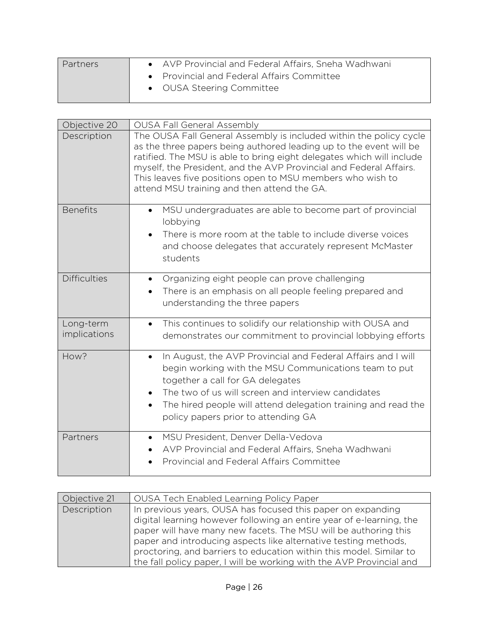| Partners | • AVP Provincial and Federal Affairs, Sneha Wadhwani<br>• Provincial and Federal Affairs Committee<br>• OUSA Steering Committee |
|----------|---------------------------------------------------------------------------------------------------------------------------------|
|          |                                                                                                                                 |

| Objective 20              | <b>OUSA Fall General Assembly</b>                                                                                                                                                                                                                                                                                                                                                                    |
|---------------------------|------------------------------------------------------------------------------------------------------------------------------------------------------------------------------------------------------------------------------------------------------------------------------------------------------------------------------------------------------------------------------------------------------|
| Description               | The OUSA Fall General Assembly is included within the policy cycle<br>as the three papers being authored leading up to the event will be<br>ratified. The MSU is able to bring eight delegates which will include<br>myself, the President, and the AVP Provincial and Federal Affairs.<br>This leaves five positions open to MSU members who wish to<br>attend MSU training and then attend the GA. |
| <b>Benefits</b>           | MSU undergraduates are able to become part of provincial<br>$\bullet$<br>lobbying<br>There is more room at the table to include diverse voices<br>$\bullet$<br>and choose delegates that accurately represent McMaster<br>students                                                                                                                                                                   |
| <b>Difficulties</b>       | Organizing eight people can prove challenging<br>$\bullet$<br>There is an emphasis on all people feeling prepared and<br>understanding the three papers                                                                                                                                                                                                                                              |
| Long-term<br>implications | This continues to solidify our relationship with OUSA and<br>$\bullet$<br>demonstrates our commitment to provincial lobbying efforts                                                                                                                                                                                                                                                                 |
| How?                      | In August, the AVP Provincial and Federal Affairs and I will<br>$\bullet$<br>begin working with the MSU Communications team to put<br>together a call for GA delegates<br>The two of us will screen and interview candidates<br>The hired people will attend delegation training and read the<br>$\bullet$<br>policy papers prior to attending GA                                                    |
| Partners                  | MSU President, Denver Della-Vedova<br>AVP Provincial and Federal Affairs, Sneha Wadhwani<br>Provincial and Federal Affairs Committee                                                                                                                                                                                                                                                                 |

| Objective 21 | OUSA Tech Enabled Learning Policy Paper                                                                                                                                                                                                                                                                                                                                                                                  |
|--------------|--------------------------------------------------------------------------------------------------------------------------------------------------------------------------------------------------------------------------------------------------------------------------------------------------------------------------------------------------------------------------------------------------------------------------|
| Description  | In previous years, OUSA has focused this paper on expanding<br>digital learning however following an entire year of e-learning, the<br>paper will have many new facets. The MSU will be authoring this<br>paper and introducing aspects like alternative testing methods,<br>proctoring, and barriers to education within this model. Similar to<br>the fall policy paper, I will be working with the AVP Provincial and |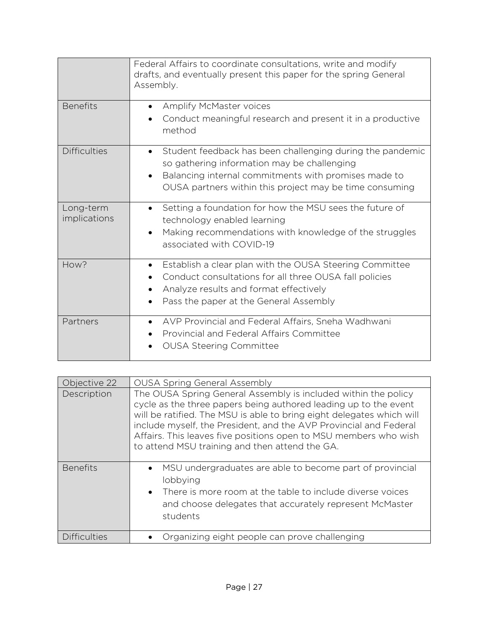|                           | Federal Affairs to coordinate consultations, write and modify<br>drafts, and eventually present this paper for the spring General<br>Assembly.                                                                                                        |
|---------------------------|-------------------------------------------------------------------------------------------------------------------------------------------------------------------------------------------------------------------------------------------------------|
| <b>Benefits</b>           | Amplify McMaster voices<br>$\bullet$<br>Conduct meaningful research and present it in a productive<br>method                                                                                                                                          |
| <b>Difficulties</b>       | Student feedback has been challenging during the pandemic<br>$\bullet$<br>so gathering information may be challenging<br>Balancing internal commitments with promises made to<br>$\bullet$<br>OUSA partners within this project may be time consuming |
| Long-term<br>implications | Setting a foundation for how the MSU sees the future of<br>$\bullet$<br>technology enabled learning<br>Making recommendations with knowledge of the struggles<br>$\bullet$<br>associated with COVID-19                                                |
| How?                      | Establish a clear plan with the OUSA Steering Committee<br>Conduct consultations for all three OUSA fall policies<br>Analyze results and format effectively<br>Pass the paper at the General Assembly                                                 |
| Partners                  | AVP Provincial and Federal Affairs, Sneha Wadhwani<br>$\bullet$<br>Provincial and Federal Affairs Committee<br><b>OUSA Steering Committee</b>                                                                                                         |

| Objective 22        | <b>OUSA Spring General Assembly</b>                                                                                                                                                                                                                                                                                                                                                                    |
|---------------------|--------------------------------------------------------------------------------------------------------------------------------------------------------------------------------------------------------------------------------------------------------------------------------------------------------------------------------------------------------------------------------------------------------|
| Description         | The OUSA Spring General Assembly is included within the policy<br>cycle as the three papers being authored leading up to the event<br>will be ratified. The MSU is able to bring eight delegates which will<br>include myself, the President, and the AVP Provincial and Federal<br>Affairs. This leaves five positions open to MSU members who wish<br>to attend MSU training and then attend the GA. |
| <b>Benefits</b>     | MSU undergraduates are able to become part of provincial<br>lobbying<br>• There is more room at the table to include diverse voices<br>and choose delegates that accurately represent McMaster<br>students                                                                                                                                                                                             |
| <b>Difficulties</b> | Organizing eight people can prove challenging                                                                                                                                                                                                                                                                                                                                                          |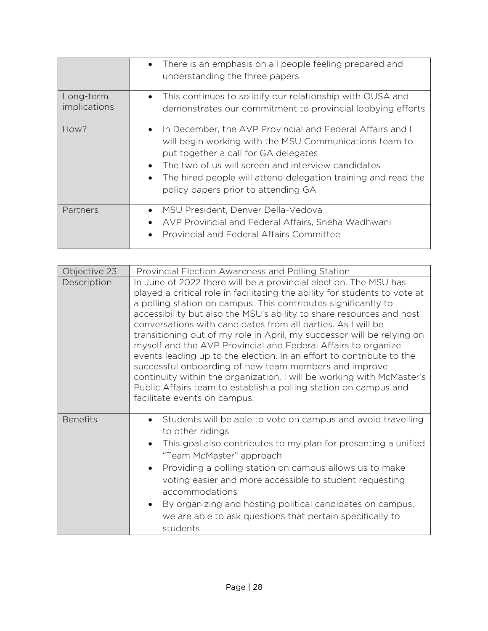|                           | There is an emphasis on all people feeling prepared and<br>$\bullet$<br>understanding the three papers                                                                                                                                                                                                                                 |
|---------------------------|----------------------------------------------------------------------------------------------------------------------------------------------------------------------------------------------------------------------------------------------------------------------------------------------------------------------------------------|
| Long-term<br>implications | This continues to solidify our relationship with OUSA and<br>$\bullet$<br>demonstrates our commitment to provincial lobbying efforts                                                                                                                                                                                                   |
| How?                      | In December, the AVP Provincial and Federal Affairs and I<br>$\bullet$<br>will begin working with the MSU Communications team to<br>put together a call for GA delegates<br>The two of us will screen and interview candidates<br>The hired people will attend delegation training and read the<br>policy papers prior to attending GA |
| Partners                  | MSU President, Denver Della-Vedova<br>AVP Provincial and Federal Affairs, Sneha Wadhwani<br>$\bullet$<br>Provincial and Federal Affairs Committee                                                                                                                                                                                      |

| Objective 23    | Provincial Election Awareness and Polling Station                                                                                                                                                                                                                                                                                                                                                                                                                                                                                                                                                                                                                                                                                                                                                                 |
|-----------------|-------------------------------------------------------------------------------------------------------------------------------------------------------------------------------------------------------------------------------------------------------------------------------------------------------------------------------------------------------------------------------------------------------------------------------------------------------------------------------------------------------------------------------------------------------------------------------------------------------------------------------------------------------------------------------------------------------------------------------------------------------------------------------------------------------------------|
| Description     | In June of 2022 there will be a provincial election. The MSU has<br>played a critical role in facilitating the ability for students to vote at<br>a polling station on campus. This contributes significantly to<br>accessibility but also the MSU's ability to share resources and host<br>conversations with candidates from all parties. As I will be<br>transitioning out of my role in April, my successor will be relying on<br>myself and the AVP Provincial and Federal Affairs to organize<br>events leading up to the election. In an effort to contribute to the<br>successful onboarding of new team members and improve<br>continuity within the organization, I will be working with McMaster's<br>Public Affairs team to establish a polling station on campus and<br>facilitate events on campus. |
| <b>Benefits</b> | Students will be able to vote on campus and avoid travelling<br>to other ridings<br>This goal also contributes to my plan for presenting a unified<br>$\bullet$<br>"Team McMaster" approach<br>Providing a polling station on campus allows us to make<br>voting easier and more accessible to student requesting<br>accommodations<br>By organizing and hosting political candidates on campus,<br>$\bullet$<br>we are able to ask questions that pertain specifically to<br>students                                                                                                                                                                                                                                                                                                                            |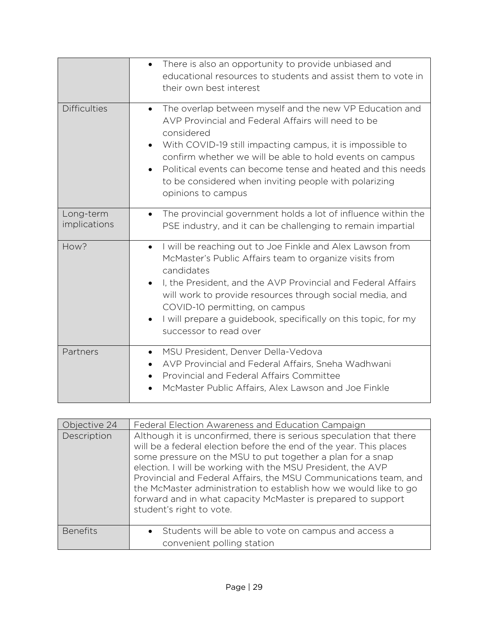|                           | There is also an opportunity to provide unbiased and<br>$\bullet$<br>educational resources to students and assist them to vote in<br>their own best interest                                                                                                                                                                                                                                                                 |
|---------------------------|------------------------------------------------------------------------------------------------------------------------------------------------------------------------------------------------------------------------------------------------------------------------------------------------------------------------------------------------------------------------------------------------------------------------------|
| <b>Difficulties</b>       | The overlap between myself and the new VP Education and<br>$\bullet$<br>AVP Provincial and Federal Affairs will need to be<br>considered<br>With COVID-19 still impacting campus, it is impossible to<br>confirm whether we will be able to hold events on campus<br>Political events can become tense and heated and this needs<br>$\bullet$<br>to be considered when inviting people with polarizing<br>opinions to campus |
| Long-term<br>implications | The provincial government holds a lot of influence within the<br>PSE industry, and it can be challenging to remain impartial                                                                                                                                                                                                                                                                                                 |
| How?                      | I will be reaching out to Joe Finkle and Alex Lawson from<br>$\bullet$<br>McMaster's Public Affairs team to organize visits from<br>candidates<br>I, the President, and the AVP Provincial and Federal Affairs<br>will work to provide resources through social media, and<br>COVID-10 permitting, on campus<br>I will prepare a guidebook, specifically on this topic, for my<br>$\bullet$<br>successor to read over        |
| Partners                  | MSU President, Denver Della-Vedova<br>$\bullet$<br>AVP Provincial and Federal Affairs, Sneha Wadhwani<br>Provincial and Federal Affairs Committee<br>McMaster Public Affairs, Alex Lawson and Joe Finkle                                                                                                                                                                                                                     |

| Objective 24    | Federal Election Awareness and Education Campaign                                                                                                                                                                                                                                                                                                                                                                                                                                                          |
|-----------------|------------------------------------------------------------------------------------------------------------------------------------------------------------------------------------------------------------------------------------------------------------------------------------------------------------------------------------------------------------------------------------------------------------------------------------------------------------------------------------------------------------|
| Description     | Although it is unconfirmed, there is serious speculation that there<br>will be a federal election before the end of the year. This places<br>some pressure on the MSU to put together a plan for a snap<br>election. I will be working with the MSU President, the AVP<br>Provincial and Federal Affairs, the MSU Communications team, and<br>the McMaster administration to establish how we would like to go<br>forward and in what capacity McMaster is prepared to support<br>student's right to vote. |
| <b>Benefits</b> | Students will be able to vote on campus and access a<br>convenient polling station                                                                                                                                                                                                                                                                                                                                                                                                                         |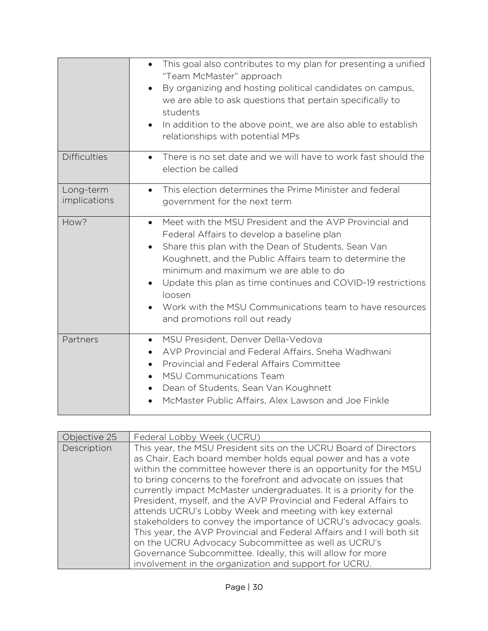|                           | This goal also contributes to my plan for presenting a unified<br>$\bullet$<br>"Team McMaster" approach<br>By organizing and hosting political candidates on campus,<br>we are able to ask questions that pertain specifically to<br>students<br>In addition to the above point, we are also able to establish<br>$\bullet$<br>relationships with potential MPs                                                                                                 |
|---------------------------|-----------------------------------------------------------------------------------------------------------------------------------------------------------------------------------------------------------------------------------------------------------------------------------------------------------------------------------------------------------------------------------------------------------------------------------------------------------------|
| <b>Difficulties</b>       | There is no set date and we will have to work fast should the<br>$\bullet$<br>election be called                                                                                                                                                                                                                                                                                                                                                                |
| Long-term<br>implications | This election determines the Prime Minister and federal<br>$\bullet$<br>government for the next term                                                                                                                                                                                                                                                                                                                                                            |
| How?                      | Meet with the MSU President and the AVP Provincial and<br>$\bullet$<br>Federal Affairs to develop a baseline plan<br>Share this plan with the Dean of Students, Sean Van<br>$\bullet$<br>Koughnett, and the Public Affairs team to determine the<br>minimum and maximum we are able to do<br>Update this plan as time continues and COVID-19 restrictions<br>loosen<br>Work with the MSU Communications team to have resources<br>and promotions roll out ready |
| Partners                  | MSU President, Denver Della-Vedova<br>$\bullet$<br>AVP Provincial and Federal Affairs, Sneha Wadhwani<br>Provincial and Federal Affairs Committee<br>$\bullet$<br><b>MSU Communications Team</b><br>Dean of Students, Sean Van Koughnett<br>McMaster Public Affairs, Alex Lawson and Joe Finkle                                                                                                                                                                 |

| Objective 25 | Federal Lobby Week (UCRU)                                                                                                                                                                                                                                                                                                                                                                                                                                                                                                                                                                                                                                                                                                                                                                             |
|--------------|-------------------------------------------------------------------------------------------------------------------------------------------------------------------------------------------------------------------------------------------------------------------------------------------------------------------------------------------------------------------------------------------------------------------------------------------------------------------------------------------------------------------------------------------------------------------------------------------------------------------------------------------------------------------------------------------------------------------------------------------------------------------------------------------------------|
| Description  | This year, the MSU President sits on the UCRU Board of Directors<br>as Chair. Each board member holds equal power and has a vote<br>within the committee however there is an opportunity for the MSU<br>to bring concerns to the forefront and advocate on issues that<br>currently impact McMaster undergraduates. It is a priority for the<br>President, myself, and the AVP Provincial and Federal Affairs to<br>attends UCRU's Lobby Week and meeting with key external<br>stakeholders to convey the importance of UCRU's advocacy goals.<br>This year, the AVP Provincial and Federal Affairs and I will both sit<br>on the UCRU Advocacy Subcommittee as well as UCRU's<br>Governance Subcommittee. Ideally, this will allow for more<br>involvement in the organization and support for UCRU. |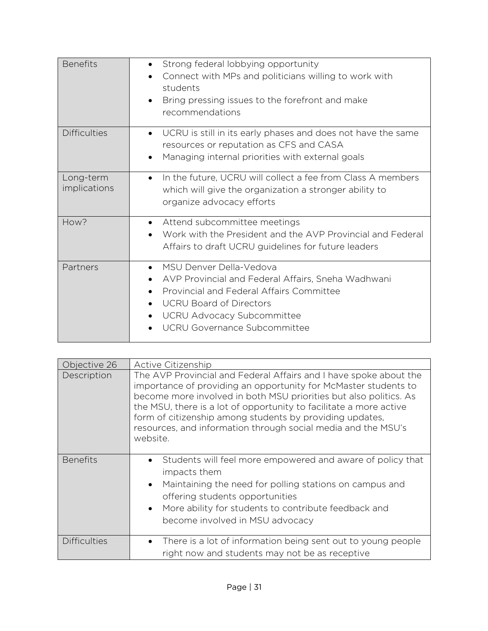| <b>Benefits</b>           | Strong federal lobbying opportunity<br>$\bullet$<br>Connect with MPs and politicians willing to work with<br>students<br>Bring pressing issues to the forefront and make<br>$\bullet$<br>recommendations                                      |
|---------------------------|-----------------------------------------------------------------------------------------------------------------------------------------------------------------------------------------------------------------------------------------------|
| <b>Difficulties</b>       | UCRU is still in its early phases and does not have the same<br>$\bullet$<br>resources or reputation as CFS and CASA<br>Managing internal priorities with external goals                                                                      |
| Long-term<br>implications | In the future, UCRU will collect a fee from Class A members<br>$\bullet$<br>which will give the organization a stronger ability to<br>organize advocacy efforts                                                                               |
| How?                      | Attend subcommittee meetings<br>$\bullet$<br>Work with the President and the AVP Provincial and Federal<br>Affairs to draft UCRU guidelines for future leaders                                                                                |
| Partners                  | MSU Denver Della-Vedova<br>$\bullet$<br>AVP Provincial and Federal Affairs, Sneha Wadhwani<br>Provincial and Federal Affairs Committee<br><b>UCRU Board of Directors</b><br><b>UCRU Advocacy Subcommittee</b><br>UCRU Governance Subcommittee |

| Objective 26        | Active Citizenship                                                                                                                                                                                                                                                                                                                                                                                                       |
|---------------------|--------------------------------------------------------------------------------------------------------------------------------------------------------------------------------------------------------------------------------------------------------------------------------------------------------------------------------------------------------------------------------------------------------------------------|
| Description         | The AVP Provincial and Federal Affairs and I have spoke about the<br>importance of providing an opportunity for McMaster students to<br>become more involved in both MSU priorities but also politics. As<br>the MSU, there is a lot of opportunity to facilitate a more active<br>form of citizenship among students by providing updates,<br>resources, and information through social media and the MSU's<br>website. |
| <b>Benefits</b>     | Students will feel more empowered and aware of policy that<br>$\bullet$<br>impacts them<br>Maintaining the need for polling stations on campus and<br>$\bullet$<br>offering students opportunities<br>More ability for students to contribute feedback and<br>$\bullet$<br>become involved in MSU advocacy                                                                                                               |
| <b>Difficulties</b> | There is a lot of information being sent out to young people<br>$\bullet$<br>right now and students may not be as receptive                                                                                                                                                                                                                                                                                              |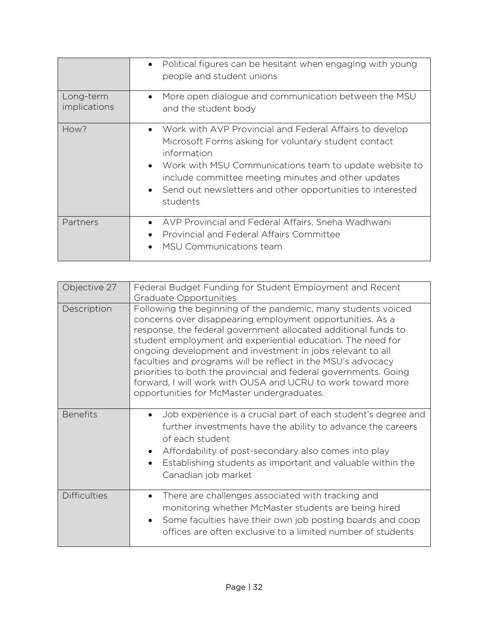| Long-term<br>implications | Political figures can be hesitant when engaging with young<br>$\bullet$<br>people and student unions<br>More open dialogue and communication between the MSU<br>$\bullet$<br>and the student body                                                                                                                                                     |
|---------------------------|-------------------------------------------------------------------------------------------------------------------------------------------------------------------------------------------------------------------------------------------------------------------------------------------------------------------------------------------------------|
| How?                      | Work with AVP Provincial and Federal Affairs to develop<br>$\bullet$<br>Microsoft Forms asking for voluntary student contact<br>information<br>• Work with MSU Communications team to update website to<br>include committee meeting minutes and other updates<br>Send out newsletters and other opportunities to interested<br>$\bullet$<br>students |
| Partners                  | • AVP Provincial and Federal Affairs, Sneha Wadhwani<br>Provincial and Federal Affairs Committee<br>$\bullet$<br>MSU Communications team<br>$\bullet$                                                                                                                                                                                                 |

| Objective 27        | Federal Budget Funding for Student Employment and Recent<br>Graduate Opportunities                                                                                                                                                                                                                                                                                                                                                                                                                                                                                         |
|---------------------|----------------------------------------------------------------------------------------------------------------------------------------------------------------------------------------------------------------------------------------------------------------------------------------------------------------------------------------------------------------------------------------------------------------------------------------------------------------------------------------------------------------------------------------------------------------------------|
| Description         | Following the beginning of the pandemic, many students voiced<br>concerns over disappearing employment opportunities. As a<br>response, the federal government allocated additional funds to<br>student employment and experiential education. The need for<br>ongoing development and investment in jobs relevant to all<br>faculties and programs will be reflect in the MSU's advocacy<br>priorities to both the provincial and federal governments. Going<br>forward, I will work with OUSA and UCRU to work toward more<br>opportunities for McMaster undergraduates. |
| <b>Benefits</b>     | Job experience is a crucial part of each student's degree and<br>$\bullet$<br>further investments have the ability to advance the careers<br>of each student<br>Affordability of post-secondary also comes into play<br>Establishing students as important and valuable within the<br>Canadian job market                                                                                                                                                                                                                                                                  |
| <b>Difficulties</b> | There are challenges associated with tracking and<br>$\bullet$<br>monitoring whether McMaster students are being hired<br>Some faculties have their own job posting boards and coop<br>$\bullet$<br>offices are often exclusive to a limited number of students                                                                                                                                                                                                                                                                                                            |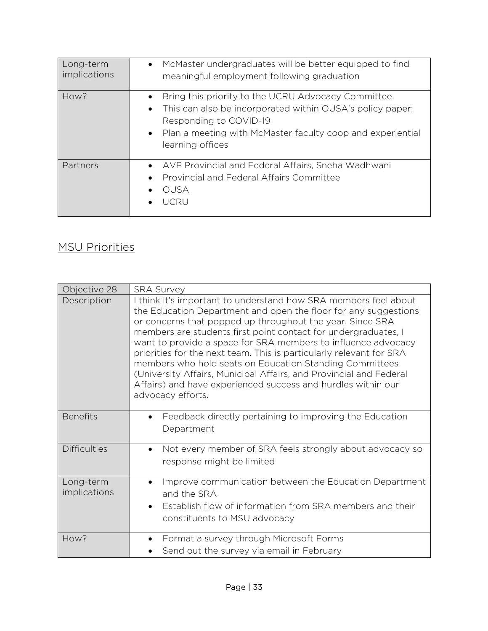| Long-term<br>implications | • McMaster undergraduates will be better equipped to find<br>meaningful employment following graduation                                                                                                                                                            |
|---------------------------|--------------------------------------------------------------------------------------------------------------------------------------------------------------------------------------------------------------------------------------------------------------------|
| How?                      | Bring this priority to the UCRU Advocacy Committee<br>$\bullet$<br>This can also be incorporated within OUSA's policy paper;<br>$\bullet$<br>Responding to COVID-19<br>Plan a meeting with McMaster faculty coop and experiential<br>$\bullet$<br>learning offices |
| Partners                  | • AVP Provincial and Federal Affairs, Sneha Wadhwani<br>Provincial and Federal Affairs Committee<br>OUSA<br><b>ICRU</b>                                                                                                                                            |

#### MSU Priorities

| Objective 28              | <b>SRA Survey</b>                                                                                                                                                                                                                                                                                                                                                                                                                                                                                                                                                                                                             |
|---------------------------|-------------------------------------------------------------------------------------------------------------------------------------------------------------------------------------------------------------------------------------------------------------------------------------------------------------------------------------------------------------------------------------------------------------------------------------------------------------------------------------------------------------------------------------------------------------------------------------------------------------------------------|
| Description               | think it's important to understand how SRA members feel about<br>the Education Department and open the floor for any suggestions<br>or concerns that popped up throughout the year. Since SRA<br>members are students first point contact for undergraduates, I<br>want to provide a space for SRA members to influence advocacy<br>priorities for the next team. This is particularly relevant for SRA<br>members who hold seats on Education Standing Committees<br>(University Affairs, Municipal Affairs, and Provincial and Federal<br>Affairs) and have experienced success and hurdles within our<br>advocacy efforts. |
| <b>Benefits</b>           | Feedback directly pertaining to improving the Education<br>$\bullet$<br>Department                                                                                                                                                                                                                                                                                                                                                                                                                                                                                                                                            |
| <b>Difficulties</b>       | Not every member of SRA feels strongly about advocacy so<br>response might be limited                                                                                                                                                                                                                                                                                                                                                                                                                                                                                                                                         |
| Long-term<br>implications | Improve communication between the Education Department<br>and the SRA<br>Establish flow of information from SRA members and their<br>$\bullet$<br>constituents to MSU advocacy                                                                                                                                                                                                                                                                                                                                                                                                                                                |
| How?                      | Format a survey through Microsoft Forms<br>$\bullet$<br>Send out the survey via email in February                                                                                                                                                                                                                                                                                                                                                                                                                                                                                                                             |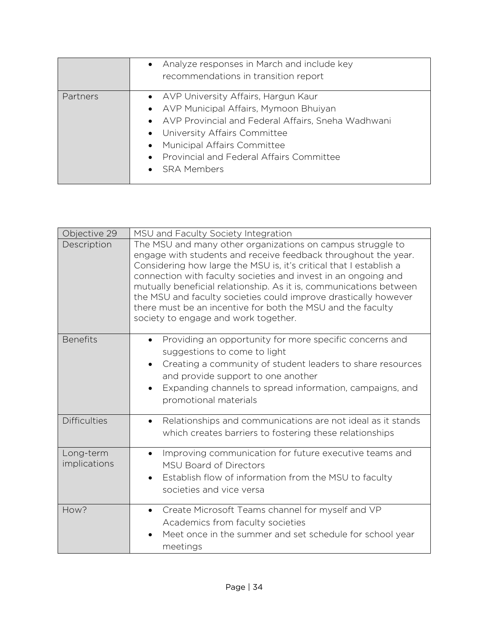|          | • Analyze responses in March and include key<br>recommendations in transition report                                                                                                                                                                                                  |
|----------|---------------------------------------------------------------------------------------------------------------------------------------------------------------------------------------------------------------------------------------------------------------------------------------|
| Partners | • AVP University Affairs, Hargun Kaur<br>• AVP Municipal Affairs, Mymoon Bhuiyan<br>• AVP Provincial and Federal Affairs, Sneha Wadhwani<br>• University Affairs Committee<br>Municipal Affairs Committee<br>$\bullet$<br>• Provincial and Federal Affairs Committee<br>• SRA Members |

| Objective 29              | MSU and Faculty Society Integration                                                                                                                                                                                                                                                                                                                                                                                                                                                                                  |
|---------------------------|----------------------------------------------------------------------------------------------------------------------------------------------------------------------------------------------------------------------------------------------------------------------------------------------------------------------------------------------------------------------------------------------------------------------------------------------------------------------------------------------------------------------|
| Description               | The MSU and many other organizations on campus struggle to<br>engage with students and receive feedback throughout the year.<br>Considering how large the MSU is, it's critical that I establish a<br>connection with faculty societies and invest in an ongoing and<br>mutually beneficial relationship. As it is, communications between<br>the MSU and faculty societies could improve drastically however<br>there must be an incentive for both the MSU and the faculty<br>society to engage and work together. |
| <b>Benefits</b>           | Providing an opportunity for more specific concerns and<br>$\bullet$<br>suggestions to come to light<br>Creating a community of student leaders to share resources<br>$\bullet$<br>and provide support to one another<br>Expanding channels to spread information, campaigns, and<br>promotional materials                                                                                                                                                                                                           |
| <b>Difficulties</b>       | Relationships and communications are not ideal as it stands<br>$\bullet$<br>which creates barriers to fostering these relationships                                                                                                                                                                                                                                                                                                                                                                                  |
| Long-term<br>implications | Improving communication for future executive teams and<br>$\bullet$<br><b>MSU Board of Directors</b><br>Establish flow of information from the MSU to faculty<br>societies and vice versa                                                                                                                                                                                                                                                                                                                            |
| How?                      | Create Microsoft Teams channel for myself and VP<br>$\bullet$<br>Academics from faculty societies<br>Meet once in the summer and set schedule for school year<br>meetings                                                                                                                                                                                                                                                                                                                                            |